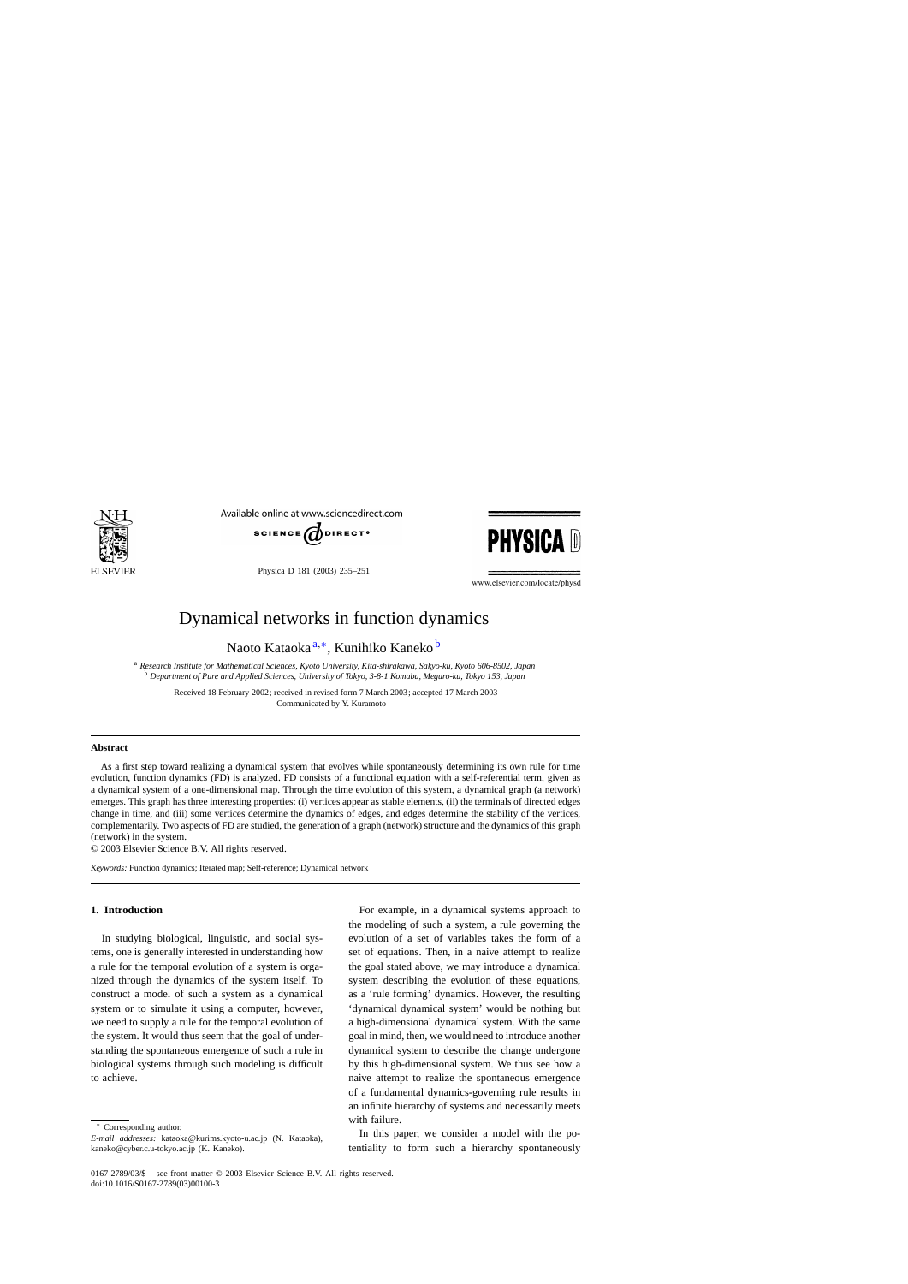

Available online at www.sciencedirect.com



Physica D 181 (2003) 235–251



www.elsevier.com/locate/physd

# Dynamical networks in function dynamics

Naoto Kataoka<sup>a,∗</sup>, Kunihiko Kaneko <sup>b</sup>

<sup>a</sup> *Research Institute for Mathematical Sciences, Kyoto University, Kita-shirakawa, Sakyo-ku, Kyoto 606-8502, Japan* <sup>b</sup> *Department of Pure and Applied Sciences, University of Tokyo, 3-8-1 Komaba, Meguro-ku, Tokyo 153, Japan*

Received 18 February 2002; received in revised form 7 March 2003; accepted 17 March 2003 Communicated by Y. Kuramoto

### **Abstract**

As a first step toward realizing a dynamical system that evolves while spontaneously determining its own rule for time evolution, function dynamics (FD) is analyzed. FD consists of a functional equation with a self-referential term, given as a dynamical system of a one-dimensional map. Through the time evolution of this system, a dynamical graph (a network) emerges. This graph has three interesting properties: (i) vertices appear as stable elements, (ii) the terminals of directed edges change in time, and (iii) some vertices determine the dynamics of edges, and edges determine the stability of the vertices, complementarily. Two aspects of FD are studied, the generation of a graph (network) structure and the dynamics of this graph (network) in the system.

© 2003 Elsevier Science B.V. All rights reserved.

*Keywords:* Function dynamics; Iterated map; Self-reference; Dynamical network

# **1. Introduction**

In studying biological, linguistic, and social systems, one is generally interested in understanding how a rule for the temporal evolution of a system is organized through the dynamics of the system itself. To construct a model of such a system as a dynamical system or to simulate it using a computer, however, we need to supply a rule for the temporal evolution of the system. It would thus seem that the goal of understanding the spontaneous emergence of such a rule in biological systems through such modeling is difficult to achieve.

For example, in a dynamical systems approach to the modeling of such a system, a rule governing the evolution of a set of variables takes the form of a set of equations. Then, in a naive attempt to realize the goal stated above, we may introduce a dynamical system describing the evolution of these equations, as a 'rule forming' dynamics. However, the resulting 'dynamical dynamical system' would be nothing but a high-dimensional dynamical system. With the same goal in mind, then, we would need to introduce another dynamical system to describe the change undergone by this high-dimensional system. We thus see how a naive attempt to realize the spontaneous emergence of a fundamental dynamics-governing rule results in an infinite hierarchy of systems and necessarily meets with failure.

In this paper, we consider a model with the potentiality to form such a hierarchy spontaneously

<sup>∗</sup> Corresponding author.

*E-mail addresses:* kataoka@kurims.kyoto-u.ac.jp (N. Kataoka), kaneko@cyber.c.u-tokyo.ac.jp (K. Kaneko).

<sup>0167-2789/03/\$ –</sup> see front matter © 2003 Elsevier Science B.V. All rights reserved. doi:10.1016/S0167-2789(03)00100-3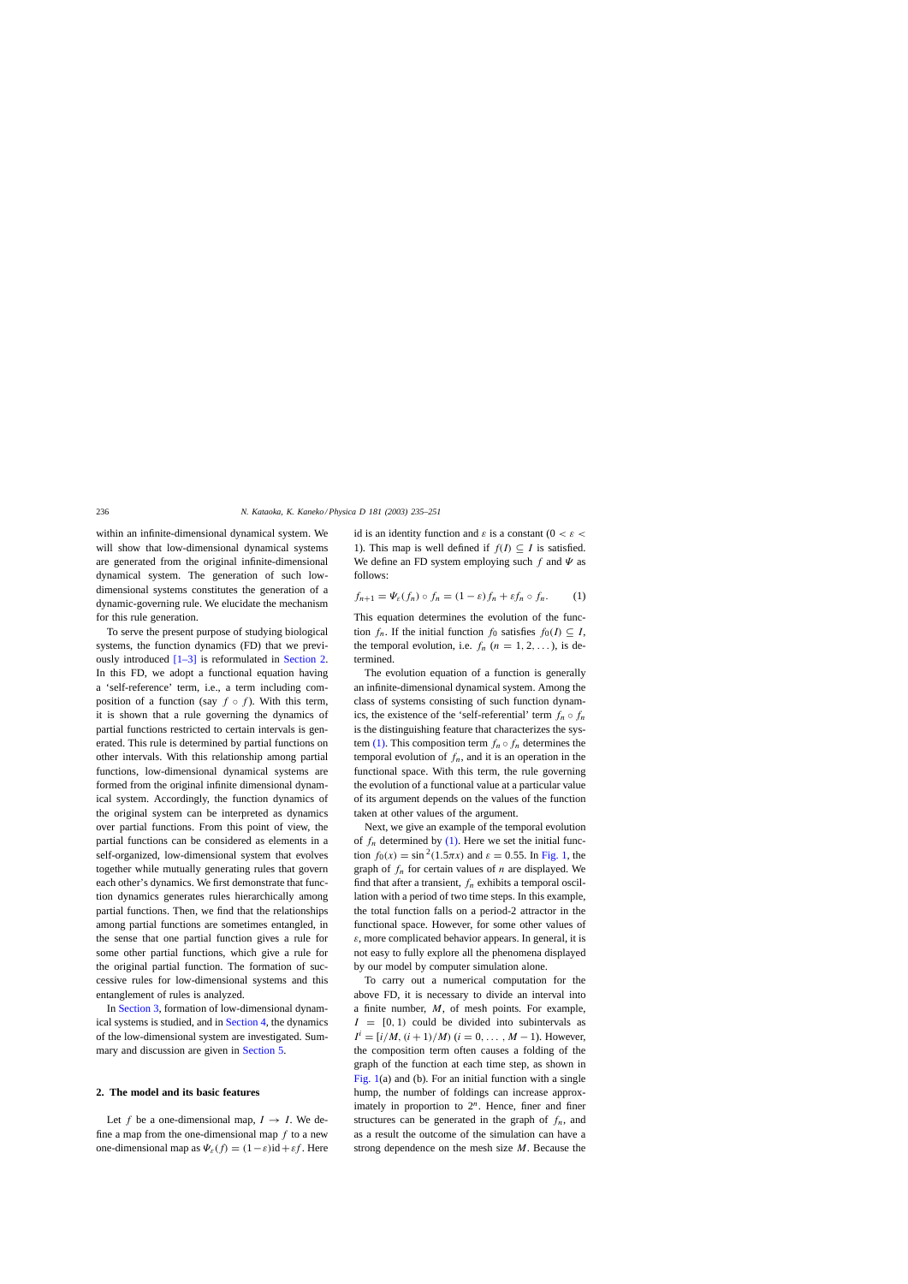<span id="page-1-0"></span>within an infinite-dimensional dynamical system. We will show that low-dimensional dynamical systems are generated from the original infinite-dimensional dynamical system. The generation of such lowdimensional systems constitutes the generation of a dynamic-governing rule. We elucidate the mechanism for this rule generation.

To serve the present purpose of studying biological systems, the function dynamics (FD) that we previously introduced  $[1-3]$  is reformulated in Section 2. In this FD, we adopt a functional equation having a 'self-reference' term, i.e., a term including composition of a function (say  $f \circ f$ ). With this term, it is shown that a rule governing the dynamics of partial functions restricted to certain intervals is generated. This rule is determined by partial functions on other intervals. With this relationship among partial functions, low-dimensional dynamical systems are formed from the original infinite dimensional dynamical system. Accordingly, the function dynamics of the original system can be interpreted as dynamics over partial functions. From this point of view, the partial functions can be considered as elements in a self-organized, low-dimensional system that evolves together while mutually generating rules that govern each other's dynamics. We first demonstrate that function dynamics generates rules hierarchically among partial functions. Then, we find that the relationships among partial functions are sometimes entangled, in the sense that one partial function gives a rule for some other partial functions, which give a rule for the original partial function. The formation of successive rules for low-dimensional systems and this entanglement of rules is analyzed.

In [Section 3, f](#page-2-0)ormation of low-dimensional dynamical systems is studied, and in [Section 4, t](#page-5-0)he dynamics of the low-dimensional system are investigated. Summary and discussion are given in [Section 5.](#page-13-0)

# **2. The model and its basic features**

Let f be a one-dimensional map,  $I \rightarrow I$ . We define a map from the one-dimensional map  $f$  to a new one-dimensional map as  $\Psi_{\varepsilon}(f) = (1 - \varepsilon) \mathrm{id} + \varepsilon f$ . Here id is an identity function and  $\varepsilon$  is a constant (0 <  $\varepsilon$  < 1). This map is well defined if  $f(I) \subseteq I$  is satisfied. We define an FD system employing such f and  $\Psi$  as follows:

$$
f_{n+1} = \Psi_{\varepsilon}(f_n) \circ f_n = (1 - \varepsilon)f_n + \varepsilon f_n \circ f_n. \tag{1}
$$

This equation determines the evolution of the function  $f_n$ . If the initial function  $f_0$  satisfies  $f_0(I) \subseteq I$ , the temporal evolution, i.e.  $f_n$   $(n = 1, 2, \ldots)$ , is determined.

The evolution equation of a function is generally an infinite-dimensional dynamical system. Among the class of systems consisting of such function dynamics, the existence of the 'self-referential' term  $f_n \circ f_n$ is the distinguishing feature that characterizes the system (1). This composition term  $f_n \circ f_n$  determines the temporal evolution of  $f_n$ , and it is an operation in the functional space. With this term, the rule governing the evolution of a functional value at a particular value of its argument depends on the values of the function taken at other values of the argument.

Next, we give an example of the temporal evolution of  $f_n$  determined by (1). Here we set the initial function  $f_0(x) = \sin^2(1.5\pi x)$  and  $\varepsilon = 0.55$ . In [Fig. 1,](#page-2-0) the graph of  $f_n$  for certain values of n are displayed. We find that after a transient,  $f_n$  exhibits a temporal oscillation with a period of two time steps. In this example, the total function falls on a period-2 attractor in the functional space. However, for some other values of  $\varepsilon$ , more complicated behavior appears. In general, it is not easy to fully explore all the phenomena displayed by our model by computer simulation alone.

To carry out a numerical computation for the above FD, it is necessary to divide an interval into a finite number,  $M$ , of mesh points. For example,  $I = [0, 1)$  could be divided into subintervals as  $I^i = [i/M, (i + 1)/M)$  ( $i = 0, ..., M - 1$ ). However, the composition term often causes a folding of the graph of the function at each time step, as shown in Fig.  $1(a)$  and (b). For an initial function with a single hump, the number of foldings can increase approximately in proportion to  $2^n$ . Hence, finer and finer structures can be generated in the graph of  $f_n$ , and as a result the outcome of the simulation can have a strong dependence on the mesh size  $M$ . Because the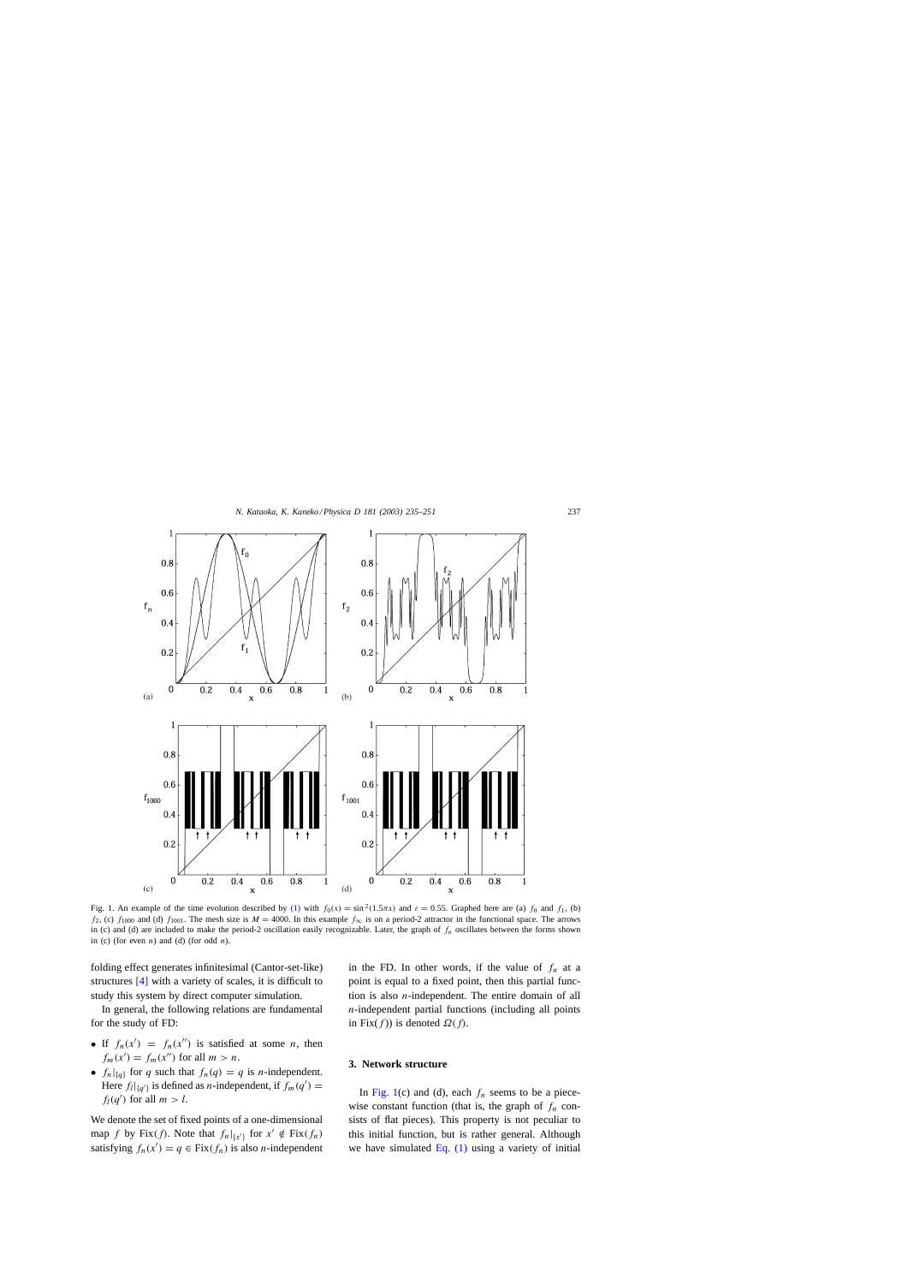<span id="page-2-0"></span>

Fig. 1. An example of the time evolution described by [\(1\)](#page-1-0) with  $f_0(x) = \sin^2(1.5\pi x)$  and  $\varepsilon = 0.55$ . Graphed here are (a)  $f_0$  and  $f_1$ , (b) f<sub>2</sub>, (c) f<sub>1000</sub> and (d) f<sub>1001</sub>. The mesh size is  $M = 4000$ . In this example  $f_{\infty}$  is on a period-2 attractor in the functional space. The arrows in (c) and (d) are included to make the period-2 oscillation easily recognizable. Later, the graph of  $f_n$  oscillates between the forms shown in (c) (for even  $n$ ) and (d) (for odd  $n$ ).

folding effect generates infinitesimal (Cantor-set-like) structures [\[4\]](#page-16-0) with a variety of scales, it is difficult to study this system by direct computer simulation.

In general, the following relations are fundamental for the study of FD:

- If  $f_n(x') = f_n(x'')$  is satisfied at some *n*, then  $f_m(x') = f_m(x'')$  for all  $m > n$ .
- $f_n|_{\{q\}}$  for q such that  $f_n(q) = q$  is n-independent. Here  $f_l|_{\{q'\}}$  is defined as *n*-independent, if  $f_m(q') =$  $f_l(q')$  for all  $m > l$ .

We denote the set of fixed points of a one-dimensional map f by Fix(f). Note that  $f_n|_{\{x'\}}$  for  $x' \notin Fix(f_n)$ satisfying  $f_n(x') = q \in Fix(f_n)$  is also *n*-independent in the FD. In other words, if the value of  $f_n$  at a point is equal to a fixed point, then this partial function is also  $n$ -independent. The entire domain of all  $n$ -independent partial functions (including all points in Fix $(f)$ ) is denoted  $\Omega(f)$ .

#### **3. Network structure**

In Fig. 1(c) and (d), each  $f_n$  seems to be a piecewise constant function (that is, the graph of  $f_n$  consists of flat pieces). This property is not peculiar to this initial function, but is rather general. Although we have simulated  $Eq. (1)$  using a variety of initial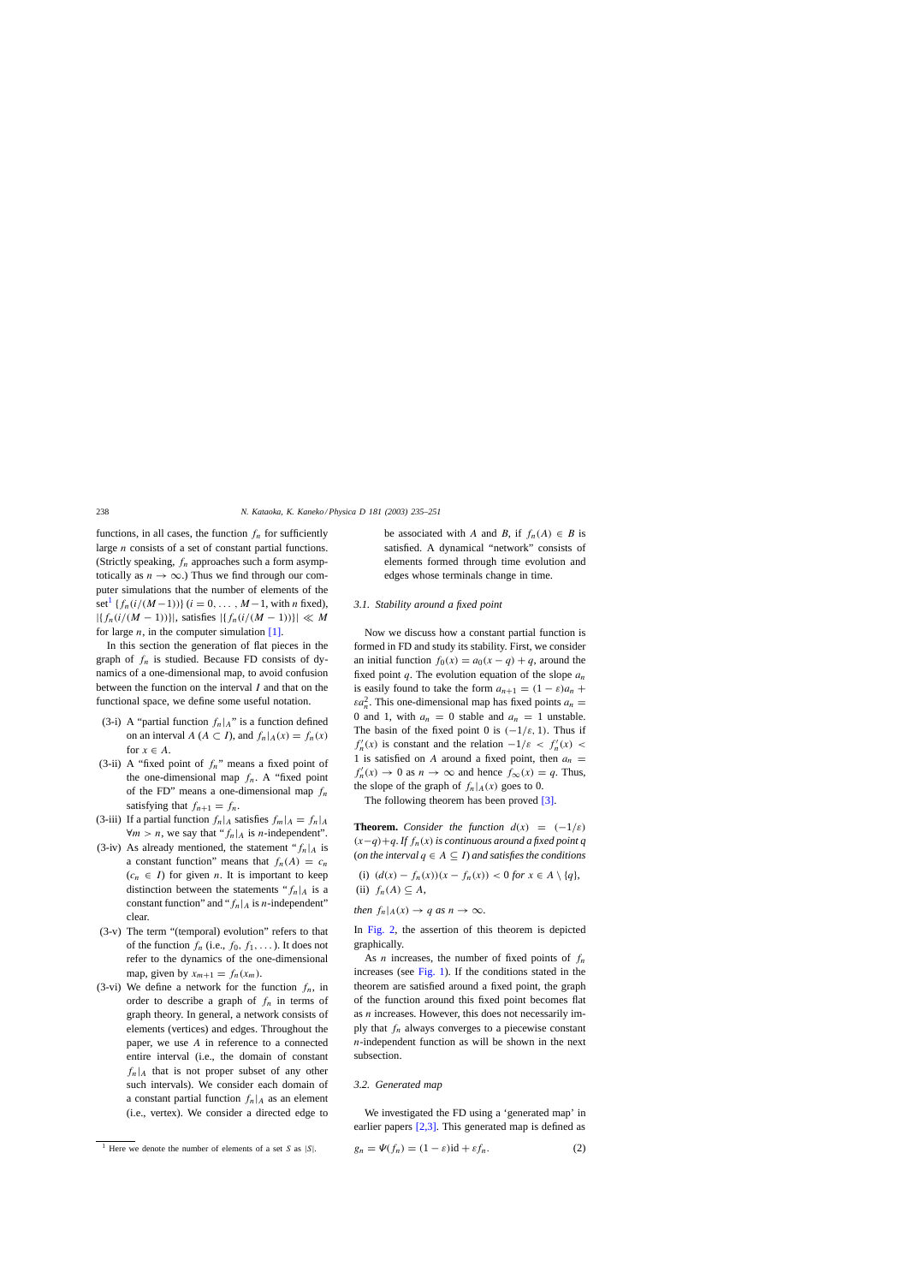<span id="page-3-0"></span>functions, in all cases, the function  $f_n$  for sufficiently large n consists of a set of constant partial functions. (Strictly speaking,  $f_n$  approaches such a form asymptotically as  $n \to \infty$ .) Thus we find through our computer simulations that the number of elements of the set<sup>1</sup> { $f_n(i/(M-1))$ } ( $i = 0, ..., M-1$ , with *n* fixed),  $|\{f_n(i/(M-1))\}|$ , satisfies  $|\{f_n(i/(M-1))\}| \ll M$ for large  $n$ , in the computer simulation [\[1\].](#page-16-0)

In this section the generation of flat pieces in the graph of  $f_n$  is studied. Because FD consists of dynamics of a one-dimensional map, to avoid confusion between the function on the interval I and that on the functional space, we define some useful notation.

- (3-i) A "partial function  $f_n|_A$ " is a function defined on an interval  $A(A \subset I)$ , and  $f_n|_A(x) = f_n(x)$ for  $x \in A$ .
- (3-ii) A "fixed point of  $f_n$ " means a fixed point of the one-dimensional map  $f_n$ . A "fixed point of the FD" means a one-dimensional map  $f_n$ satisfying that  $f_{n+1} = f_n$ .
- (3-iii) If a partial function  $f_n|_A$  satisfies  $f_m|_A = f_n|_A$  $\forall m > n$ , we say that " $f_n|_A$  is *n*-independent".
- (3-iv) As already mentioned, the statement " $f_n|_A$  is a constant function" means that  $f_n(A) = c_n$  $(c_n \in I)$  for given *n*. It is important to keep distinction between the statements " $f_n|_A$  is a constant function" and " $f_n|_A$  is *n*-independent" clear.
- (3-v) The term "(temporal) evolution" refers to that of the function  $f_n$  (i.e.,  $f_0, f_1, \ldots$ ). It does not refer to the dynamics of the one-dimensional map, given by  $x_{m+1} = f_n(x_m)$ .
- (3-vi) We define a network for the function  $f_n$ , in order to describe a graph of  $f_n$  in terms of graph theory. In general, a network consists of elements (vertices) and edges. Throughout the paper, we use A in reference to a connected entire interval (i.e., the domain of constant  $f_n|_A$  that is not proper subset of any other such intervals). We consider each domain of a constant partial function  $f_n|_A$  as an element (i.e., vertex). We consider a directed edge to

be associated with A and B, if  $f_n(A) \in B$  is satisfied. A dynamical "network" consists of elements formed through time evolution and edges whose terminals change in time.

## *3.1. Stability around a fixed point*

Now we discuss how a constant partial function is formed in FD and study its stability. First, we consider an initial function  $f_0(x) = a_0(x - q) + q$ , around the fixed point q. The evolution equation of the slope  $a_n$ is easily found to take the form  $a_{n+1} = (1 - \varepsilon)a_n +$  $\epsilon a_n^2$ . This one-dimensional map has fixed points  $a_n =$ 0 and 1, with  $a_n = 0$  stable and  $a_n = 1$  unstable. The basin of the fixed point 0 is  $(-1/\varepsilon, 1)$ . Thus if  $f'_n(x)$  is constant and the relation  $-1/\varepsilon < f'_n(x)$ 1 is satisfied on A around a fixed point, then  $a_n =$  $f'_n(x) \to 0$  as  $n \to \infty$  and hence  $f_\infty(x) = q$ . Thus, the slope of the graph of  $f_n|_A(x)$  goes to 0.

The following theorem has been proved [\[3\].](#page-16-0)

**Theorem.** *Consider the function*  $d(x) = (-1/\varepsilon)$ (x−q)+q. *If* fn(x) *is continuous around a fixed point q* (*on the interval*  $q \in A \subseteq I$ *) and satisfies the conditions* 

(i)  $(d(x) - f_n(x))(x - f_n(x)) < 0$  *for*  $x \in A \setminus \{q\}$ , (ii)  $f_n(A) \subseteq A$ ,

*then*  $f_n|_A(x) \to q$  *as*  $n \to \infty$ .

In [Fig. 2,](#page-4-0) the assertion of this theorem is depicted graphically.

As *n* increases, the number of fixed points of  $f_n$ increases (see [Fig. 1\).](#page-2-0) If the conditions stated in the theorem are satisfied around a fixed point, the graph of the function around this fixed point becomes flat as n increases. However, this does not necessarily imply that  $f_n$  always converges to a piecewise constant  $n$ -independent function as will be shown in the next subsection.

# *3.2. Generated map*

We investigated the FD using a 'generated map' in earlier papers [\[2,3\].](#page-16-0) This generated map is defined as

$$
g_n = \Psi(f_n) = (1 - \varepsilon) \mathrm{id} + \varepsilon f_n. \tag{2}
$$

<sup>&</sup>lt;sup>1</sup> Here we denote the number of elements of a set S as  $|S|$ .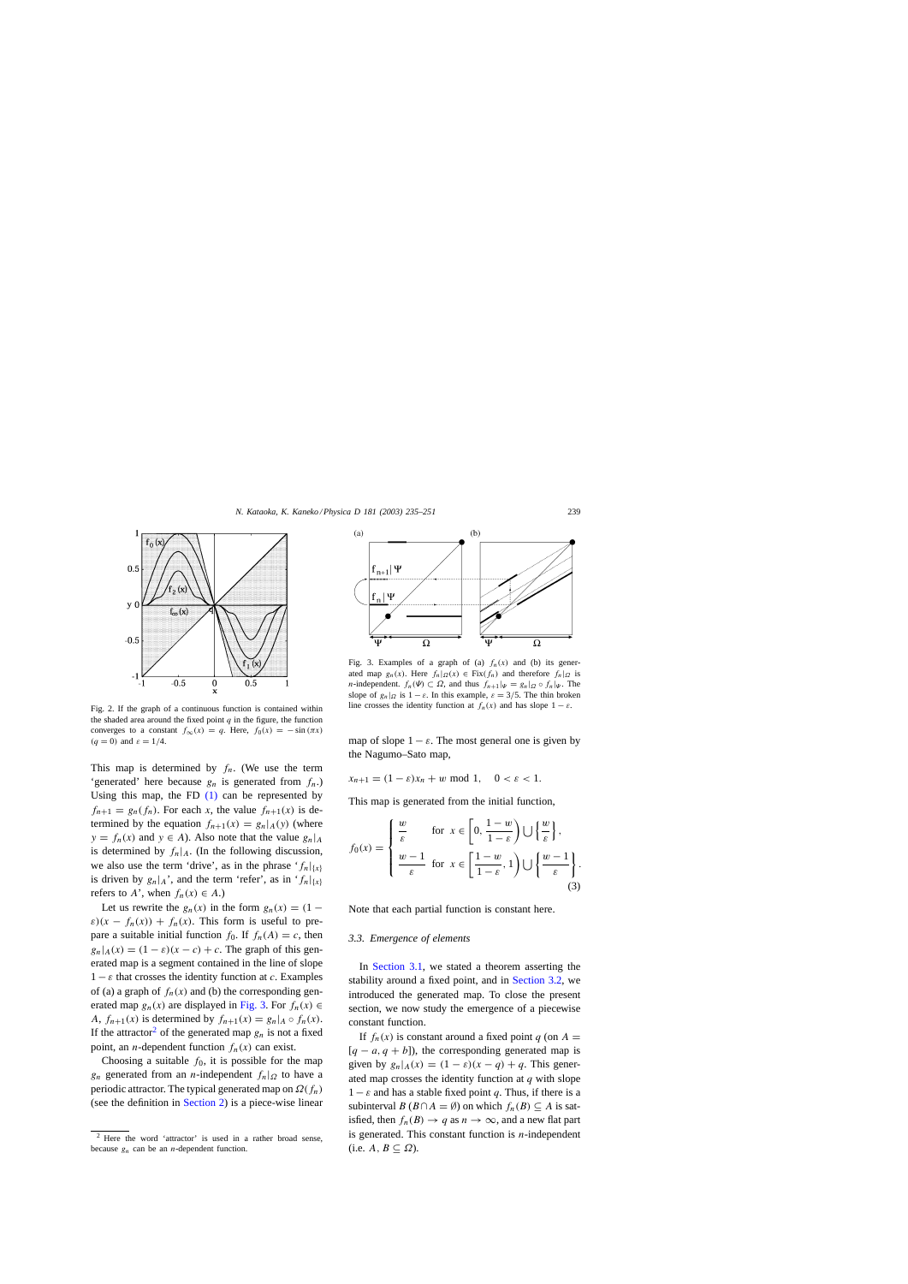<span id="page-4-0"></span>

Fig. 2. If the graph of a continuous function is contained within the shaded area around the fixed point  $q$  in the figure, the function converges to a constant  $f_{\infty}(x) = q$ . Here,  $f_0(x) = -\sin(\pi x)$  $(q = 0)$  and  $\varepsilon = 1/4$ .

This map is determined by  $f_n$ . (We use the term 'generated' here because  $g_n$  is generated from  $f_n$ . Using this map, the FD  $(1)$  can be represented by  $f_{n+1} = g_n(f_n)$ . For each x, the value  $f_{n+1}(x)$  is determined by the equation  $f_{n+1}(x) = g_n|_A(y)$  (where  $y = f_n(x)$  and  $y \in A$ ). Also note that the value  $g_n|_A$ is determined by  $f_n|_A$ . (In the following discussion, we also use the term 'drive', as in the phrase ' $f_n|_{\{x\}}$ is driven by  $g_n|_A$ ', and the term 'refer', as in ' $f_n|_{\{x\}}$ refers to A', when  $f_n(x) \in A$ .)

Let us rewrite the  $g_n(x)$  in the form  $g_n(x) = (1 \varepsilon$ )(x – f<sub>n</sub>(x)) + f<sub>n</sub>(x). This form is useful to prepare a suitable initial function  $f_0$ . If  $f_n(A) = c$ , then  $g_n|_A(x) = (1 - \varepsilon)(x - c) + c$ . The graph of this generated map is a segment contained in the line of slope  $1 - \varepsilon$  that crosses the identity function at c. Examples of (a) a graph of  $f_n(x)$  and (b) the corresponding generated map  $g_n(x)$  are displayed in Fig. 3. For  $f_n(x) \in$ A,  $f_{n+1}(x)$  is determined by  $f_{n+1}(x) = g_n |_{A} \circ f_n(x)$ . If the attractor<sup>2</sup> of the generated map  $g_n$  is not a fixed point, an *n*-dependent function  $f_n(x)$  can exist.

Choosing a suitable  $f_0$ , it is possible for the map  $g_n$  generated from an *n*-independent  $f_n|_{\Omega}$  to have a periodic attractor. The typical generated map on  $\Omega(f_n)$ (see the definition in [Section 2\)](#page-1-0) is a piece-wise linear



Fig. 3. Examples of a graph of (a)  $f_n(x)$  and (b) its generated map  $g_n(x)$ . Here  $f_n|_{\Omega}(x) \in Fix(f_n)$  and therefore  $f_n|_{\Omega}$  is *n*-independent.  $f_n(\Psi) \subset \Omega$ , and thus  $f_{n+1}|\Psi| = g_n |_{\Omega} \circ f_n |\Psi|$ . The slope of  $g_n|_{\Omega}$  is  $1 - \varepsilon$ . In this example,  $\varepsilon = 3/5$ . The thin broken line crosses the identity function at  $f_n(x)$  and has slope  $1 - \varepsilon$ .

map of slope  $1 - \varepsilon$ . The most general one is given by the Nagumo–Sato map,

 $x_{n+1} = (1 - \varepsilon)x_n + w \mod 1, \quad 0 < \varepsilon < 1.$ 

This map is generated from the initial function,

$$
f_0(x) = \begin{cases} \frac{w}{\varepsilon} & \text{for } x \in \left[0, \frac{1-w}{1-\varepsilon}\right) \cup \left\{\frac{w}{\varepsilon}\right\}, \\ \frac{w-1}{\varepsilon} & \text{for } x \in \left[\frac{1-w}{1-\varepsilon}, 1\right) \cup \left\{\frac{w-1}{\varepsilon}\right\}. \end{cases}
$$
(3)

Note that each partial function is constant here.

# *3.3. Emergence of elements*

In [Section 3.1,](#page-3-0) we stated a theorem asserting the stability around a fixed point, and in [Section 3.2,](#page-3-0) we introduced the generated map. To close the present section, we now study the emergence of a piecewise constant function.

If  $f_n(x)$  is constant around a fixed point q (on  $A =$  $[q - a, q + b]$ , the corresponding generated map is given by  $g_n|_A(x) = (1 - \varepsilon)(x - q) + q$ . This generated map crosses the identity function at  $q$  with slope  $1 - \varepsilon$  and has a stable fixed point q. Thus, if there is a subinterval  $B (B \cap A = \emptyset)$  on which  $f_n(B) \subseteq A$  is satisfied, then  $f_n(B) \to q$  as  $n \to \infty$ , and a new flat part is generated. This constant function is  $n$ -independent (i.e.  $A, B \subseteq \Omega$ ).

<sup>2</sup> Here the word 'attractor' is used in a rather broad sense, because  $g_n$  can be an *n*-dependent function.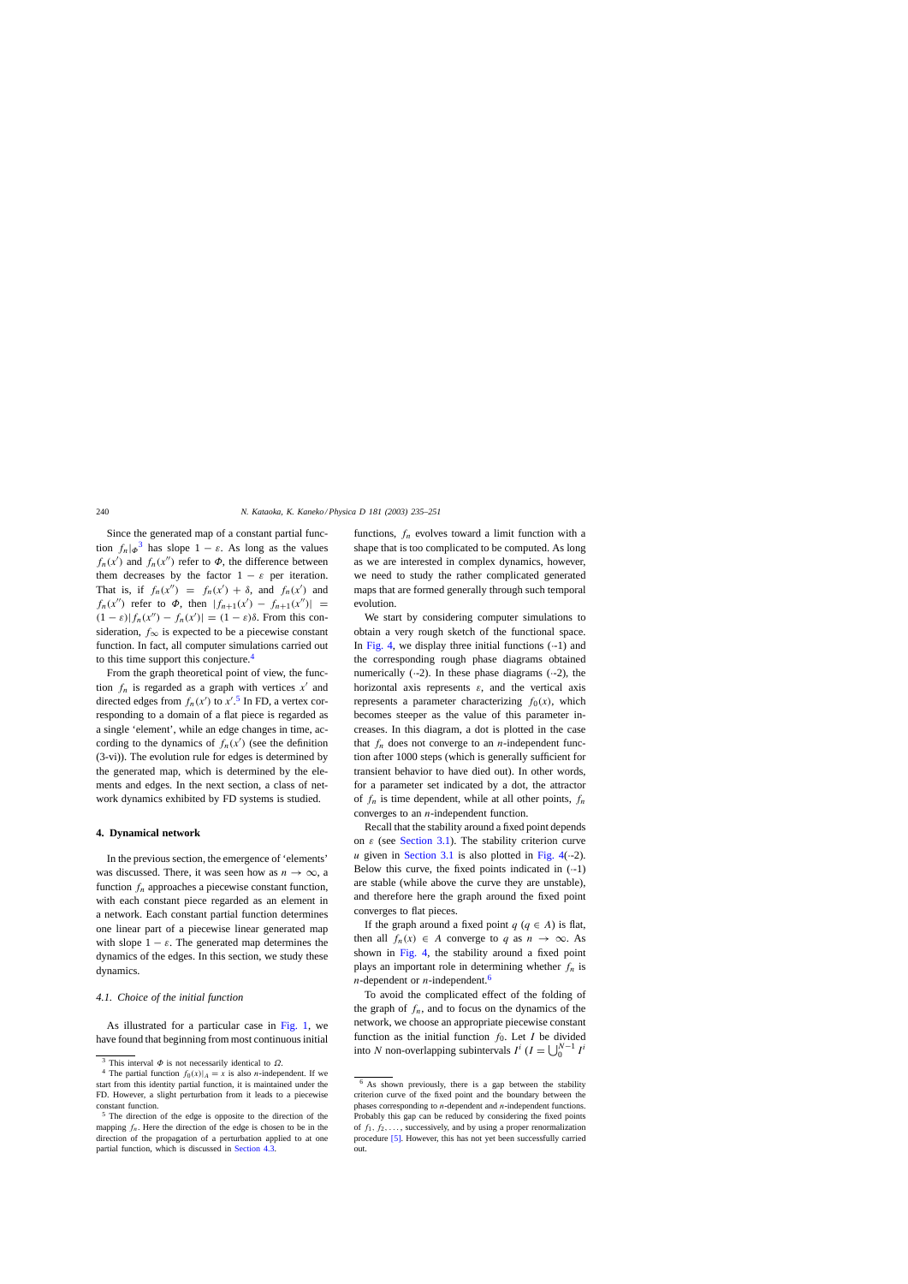<span id="page-5-0"></span>Since the generated map of a constant partial function  $f_n|\phi^3$  has slope  $1 - \varepsilon$ . As long as the values  $f_n(x')$  and  $f_n(x'')$  refer to  $\Phi$ , the difference between them decreases by the factor  $1 - \varepsilon$  per iteration. That is, if  $f_n(x'') = f_n(x') + \delta$ , and  $f_n(x')$  and  $f_n(x'')$  refer to  $\Phi$ , then  $|f_{n+1}(x') - f_{n+1}(x'')|$  =  $(1 - \varepsilon)|f_n(x'') - f_n(x')| = (1 - \varepsilon)\delta$ . From this consideration,  $f_{\infty}$  is expected to be a piecewise constant function. In fact, all computer simulations carried out to this time support this conjecture.<sup>4</sup>

From the graph theoretical point of view, the function  $f_n$  is regarded as a graph with vertices  $x'$  and directed edges from  $f_n(x')$  to  $x'$ .<sup>5</sup> In FD, a vertex corresponding to a domain of a flat piece is regarded as a single 'element', while an edge changes in time, according to the dynamics of  $f_n(x')$  (see the definition (3-vi)). The evolution rule for edges is determined by the generated map, which is determined by the elements and edges. In the next section, a class of network dynamics exhibited by FD systems is studied.

#### **4. Dynamical network**

In the previous section, the emergence of 'elements' was discussed. There, it was seen how as  $n \to \infty$ , a function  $f_n$  approaches a piecewise constant function, with each constant piece regarded as an element in a network. Each constant partial function determines one linear part of a piecewise linear generated map with slope  $1 - \varepsilon$ . The generated map determines the dynamics of the edges. In this section, we study these dynamics.

# *4.1. Choice of the initial function*

As illustrated for a particular case in [Fig. 1,](#page-2-0) we have found that beginning from most continuous initial functions,  $f_n$  evolves toward a limit function with a shape that is too complicated to be computed. As long as we are interested in complex dynamics, however, we need to study the rather complicated generated maps that are formed generally through such temporal evolution.

We start by considering computer simulations to obtain a very rough sketch of the functional space. In [Fig. 4,](#page-6-0) we display three initial functions  $(-1)$  and the corresponding rough phase diagrams obtained numerically  $(-2)$ . In these phase diagrams  $(-2)$ , the horizontal axis represents  $\varepsilon$ , and the vertical axis represents a parameter characterizing  $f_0(x)$ , which becomes steeper as the value of this parameter increases. In this diagram, a dot is plotted in the case that  $f_n$  does not converge to an *n*-independent function after 1000 steps (which is generally sufficient for transient behavior to have died out). In other words, for a parameter set indicated by a dot, the attractor of  $f_n$  is time dependent, while at all other points,  $f_n$ converges to an  $n$ -independent function.

Recall that the stability around a fixed point depends on  $\varepsilon$  (see [Section 3.1\).](#page-3-0) The stability criterion curve u given in [Section 3.1](#page-3-0) is also plotted in [Fig. 4\(](#page-6-0) $-2$ ). Below this curve, the fixed points indicated in  $(-1)$ are stable (while above the curve they are unstable), and therefore here the graph around the fixed point converges to flat pieces.

If the graph around a fixed point  $q$  ( $q \in A$ ) is flat, then all  $f_n(x) \in A$  converge to q as  $n \to \infty$ . As shown in [Fig. 4,](#page-6-0) the stability around a fixed point plays an important role in determining whether  $f_n$  is *n*-dependent or *n*-independent.<sup>6</sup>

To avoid the complicated effect of the folding of the graph of  $f_n$ , and to focus on the dynamics of the network, we choose an appropriate piecewise constant function as the initial function  $f_0$ . Let I be divided into N non-overlapping subintervals  $I^i$  ( $I = \bigcup_{0}^{N-1} I^i$ 

<sup>&</sup>lt;sup>3</sup> This interval  $\Phi$  is not necessarily identical to  $\Omega$ .

<sup>&</sup>lt;sup>4</sup> The partial function  $f_0(x)|_A = x$  is also *n*-independent. If we start from this identity partial function, it is maintained under the FD. However, a slight perturbation from it leads to a piecewise constant function.

<sup>5</sup> The direction of the edge is opposite to the direction of the mapping  $f_n$ . Here the direction of the edge is chosen to be in the direction of the propagation of a perturbation applied to at one partial function, which is discussed in [Section 4.3.](#page-9-0)

<sup>6</sup> As shown previously, there is a gap between the stability criterion curve of the fixed point and the boundary between the phases corresponding to n-dependent and n-independent functions. Probably this gap can be reduced by considering the fixed points of  $f_1, f_2, \ldots$ , successively, and by using a proper renormalization procedure [\[5\]. H](#page-16-0)owever, this has not yet been successfully carried out.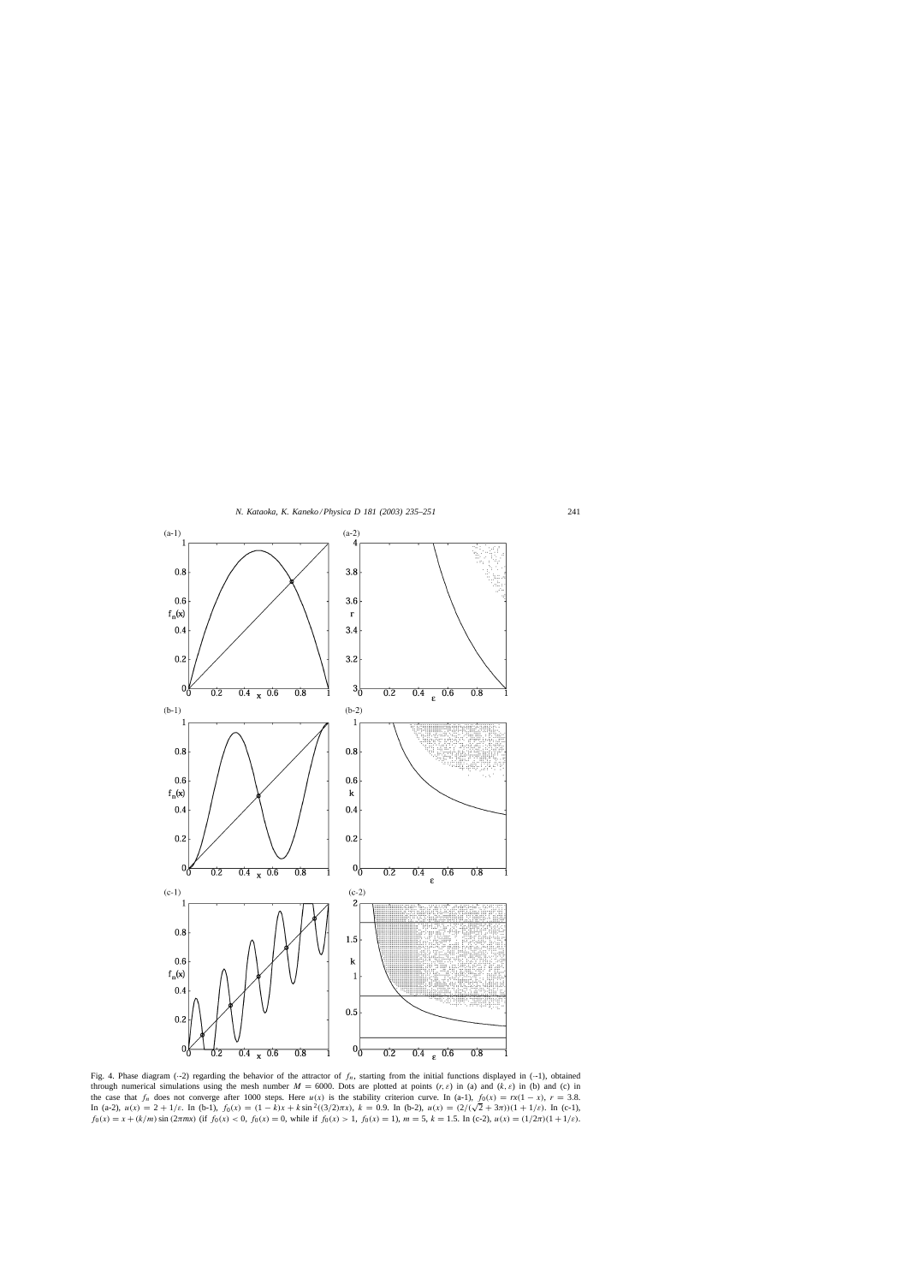<span id="page-6-0"></span>

Fig. 4. Phase diagram (--2) regarding the behavior of the attractor of  $f_n$ , starting from the initial functions displayed in (--1), obtained through numerical simulations using the mesh number  $M = 6000$ . Dots are plotted at points  $(r, \varepsilon)$  in (a) and  $(k, \varepsilon)$  in (b) and (c) in the case that  $f_n$  does not converge after 1000 steps. Here  $u(x)$  is the stability criterion curve. In (a-1),  $f_0(x) = rx(1-x)$ ,  $r = 3.8$ . In (a-2),  $u(x) = 2 + 1/\varepsilon$ . In (b-1),  $f_0(x) = (1 - k)x + k \sin^2((3/2)\pi x)$ ,  $k = 0.9$ . In (b-2),  $u(x) = (2/(\sqrt{2} + 3\pi))(1 + 1/\varepsilon)$ . In (c-1),  $f_0(x) = x + (k/m) \sin(2\pi mx)$  (if  $f_0(x) < 0$ ,  $f_0(x) = 0$ , while if  $f_0(x) > 1$ ,  $f_0(x) = 1$ ),  $m = 5$ ,  $k = 1.5$ . In (c-2),  $u(x) = (1/2\pi)(1 + 1/\varepsilon)$ .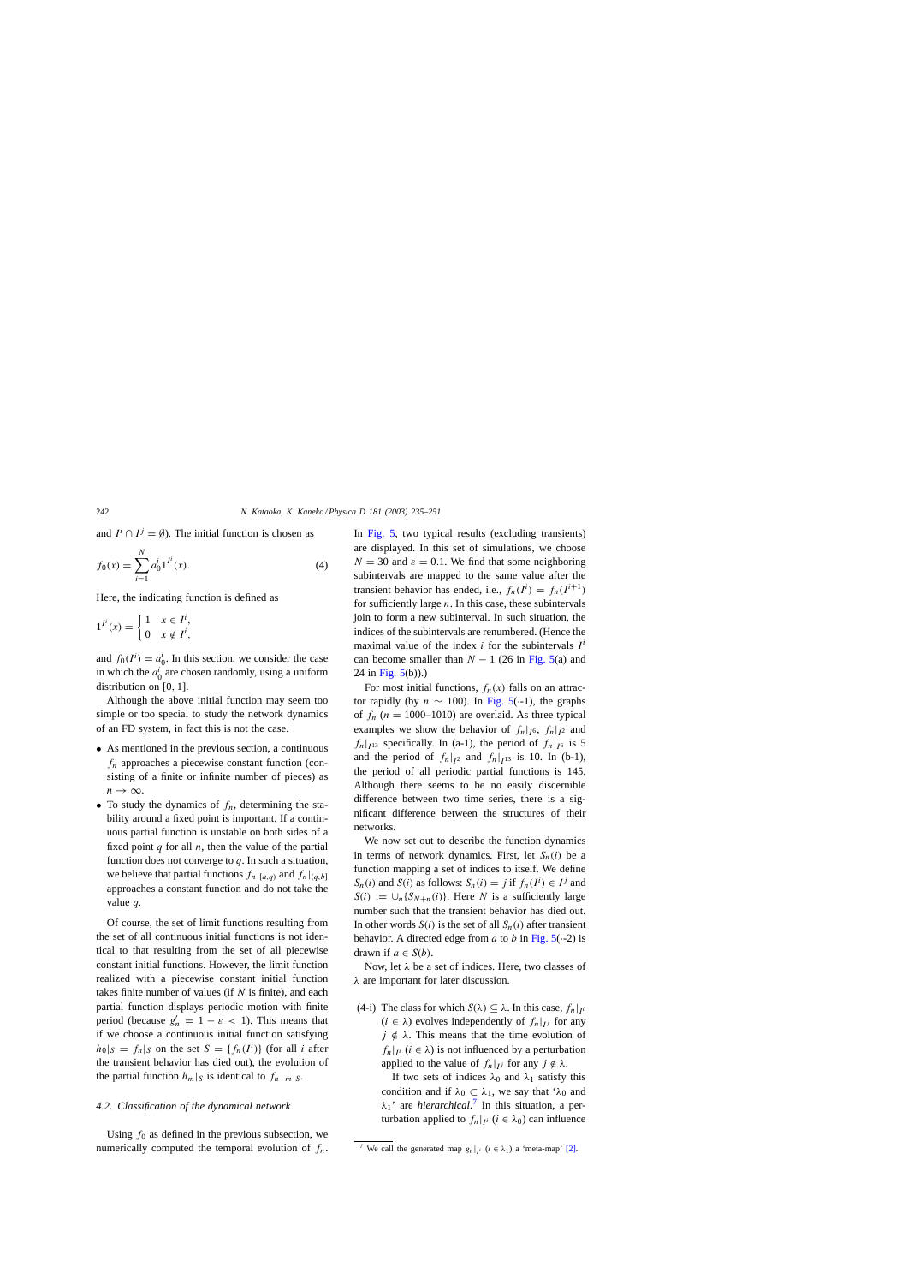<span id="page-7-0"></span>and  $I^i \cap I^j = \emptyset$ ). The initial function is chosen as

$$
f_0(x) = \sum_{i=1}^{N} a_0^i 1^{I^i}(x).
$$
 (4)

Here, the indicating function is defined as

$$
1^{I^i}(x) = \begin{cases} 1 & x \in I^i, \\ 0 & x \notin I^i, \end{cases}
$$

and  $f_0(I^i) = a_0^i$ . In this section, we consider the case in which the  $a_0^i$  are chosen randomly, using a uniform distribution on [0, 1].

Although the above initial function may seem too simple or too special to study the network dynamics of an FD system, in fact this is not the case.

- As mentioned in the previous section, a continuous  $f_n$  approaches a piecewise constant function (consisting of a finite or infinite number of pieces) as  $n \to \infty$ .
- To study the dynamics of  $f_n$ , determining the stability around a fixed point is important. If a continuous partial function is unstable on both sides of a fixed point  $q$  for all  $n$ , then the value of the partial function does not converge to  $q$ . In such a situation, we believe that partial functions  $f_n|_{[a,q)}$  and  $f_n|_{[a,b]}$ approaches a constant function and do not take the value q.

Of course, the set of limit functions resulting from the set of all continuous initial functions is not identical to that resulting from the set of all piecewise constant initial functions. However, the limit function realized with a piecewise constant initial function takes finite number of values (if  $N$  is finite), and each partial function displays periodic motion with finite period (because  $g'_n = 1 - \varepsilon < 1$ ). This means that if we choose a continuous initial function satisfying  $|h_0|_S = f_n|_S$  on the set  $S = \{f_n(I^i)\}\$  (for all i after the transient behavior has died out), the evolution of the partial function  $h_m|_S$  is identical to  $f_{n+m}|_S$ .

### *4.2. Classification of the dynamical network*

Using  $f_0$  as defined in the previous subsection, we numerically computed the temporal evolution of  $f_n$ . In [Fig. 5,](#page-8-0) two typical results (excluding transients) are displayed. In this set of simulations, we choose  $N = 30$  and  $\varepsilon = 0.1$ . We find that some neighboring subintervals are mapped to the same value after the transient behavior has ended, i.e.,  $f_n(I^i) = f_n(I^{i+1})$ for sufficiently large  $n$ . In this case, these subintervals join to form a new subinterval. In such situation, the indices of the subintervals are renumbered. (Hence the maximal value of the index i for the subintervals  $I^i$ can become smaller than  $N - 1$  (26 in [Fig. 5\(a](#page-8-0)) and 24 in Fig.  $5(b)$ ).)

For most initial functions,  $f_n(x)$  falls on an attractor rapidly (by  $n \sim 100$ ). In [Fig. 5\(](#page-8-0) $-1$ ), the graphs of  $f_n$  (n = 1000–1010) are overlaid. As three typical examples we show the behavior of  $f_n|_{I^6}$ ,  $f_n|_{I^2}$  and  $f_n|_{I^{13}}$  specifically. In (a-1), the period of  $f_n|_{I^6}$  is 5 and the period of  $f_n|_{I^2}$  and  $f_n|_{I^{13}}$  is 10. In (b-1), the period of all periodic partial functions is 145. Although there seems to be no easily discernible difference between two time series, there is a significant difference between the structures of their networks.

We now set out to describe the function dynamics in terms of network dynamics. First, let  $S_n(i)$  be a function mapping a set of indices to itself. We define  $S_n(i)$  and  $S(i)$  as follows:  $S_n(i) = j$  if  $f_n(I^i) \in I^j$  and  $S(i) := \bigcup_n \{S_{N+n}(i)\}\.$  Here N is a sufficiently large number such that the transient behavior has died out. In other words  $S(i)$  is the set of all  $S_n(i)$  after transient behavior. A directed edge from a to b in Fig.  $5(-2)$  is drawn if  $a \in S(b)$ .

Now, let  $\lambda$  be a set of indices. Here, two classes of λ are important for later discussion.

(4-i) The class for which  $S(\lambda) \subseteq \lambda$ . In this case,  $f_n|_{I_i}$  $(i \in \lambda)$  evolves independently of  $f_n|_{U}$  for any  $j \notin \lambda$ . This means that the time evolution of  $f_n|_{I}$  ( $i \in \lambda$ ) is not influenced by a perturbation applied to the value of  $f_n|_{I_j}$  for any  $j \notin \lambda$ .

> If two sets of indices  $\lambda_0$  and  $\lambda_1$  satisfy this condition and if  $\lambda_0 \subset \lambda_1$ , we say that ' $\lambda_0$  and  $\lambda_1$ ' are *hierarchical*.<sup>7</sup> In this situation, a perturbation applied to  $f_n|_{I^i}$  ( $i \in \lambda_0$ ) can influence

<sup>&</sup>lt;sup>7</sup> We call the generated map  $g_n|_{I^i}$  ( $i \in \lambda_1$ ) a 'meta-map' [\[2\].](#page-16-0)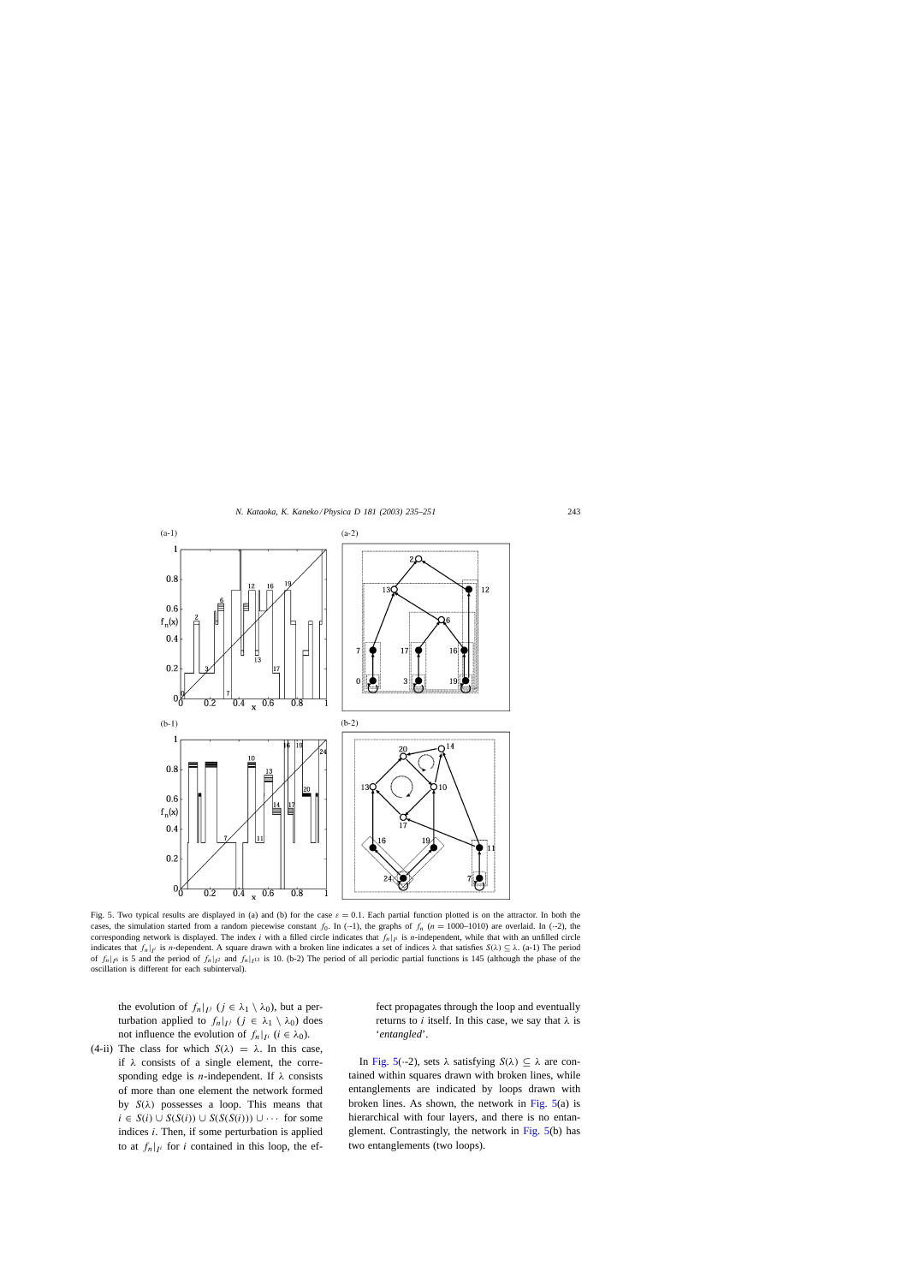<span id="page-8-0"></span>

Fig. 5. Two typical results are displayed in (a) and (b) for the case  $\varepsilon = 0.1$ . Each partial function plotted is on the attractor. In both the cases, the simulation started from a random piecewise constant  $f_0$ . In (--1), the graphs of  $f_n$  (n = 1000–1010) are overlaid. In (--2), the corresponding network is displayed. The index i with a filled circle indicates that  $f_n|_{I_i}$  is n-independent, while that with an unfilled circle indicates that  $f_n|_{I}$  is n-dependent. A square drawn with a broken line indicates a set of indices  $\lambda$  that satisfies  $S(\lambda) \subseteq \lambda$ . (a-1) The period of  $f_n|_{16}$  is 5 and the period of  $f_n|_{12}$  and  $f_n|_{11}$  is 10. (b-2) The period of all periodic partial functions is 145 (although the phase of the oscillation is different for each subinterval).

the evolution of  $f_n|_{U_j}$   $(j \in \lambda_1 \setminus \lambda_0)$ , but a perturbation applied to  $f_n|_{L^j}$   $(j \in \lambda_1 \setminus \lambda_0)$  does not influence the evolution of  $f_n|_{I^i}$  ( $i \in \lambda_0$ ).

(4-ii) The class for which  $S(\lambda) = \lambda$ . In this case, if  $\lambda$  consists of a single element, the corresponding edge is *n*-independent. If  $\lambda$  consists of more than one element the network formed by  $S(\lambda)$  possesses a loop. This means that  $i \in S(i) \cup S(S(i)) \cup S(S(S(i))) \cup \cdots$  for some indices  $i$ . Then, if some perturbation is applied to at  $f_n|_{I_i}$  for i contained in this loop, the effect propagates through the loop and eventually returns to *i* itself. In this case, we say that  $\lambda$  is '*entangled*'.

In Fig. 5( $\cdot$ -2), sets  $\lambda$  satisfying  $S(\lambda) \subseteq \lambda$  are contained within squares drawn with broken lines, while entanglements are indicated by loops drawn with broken lines. As shown, the network in Fig. 5(a) is hierarchical with four layers, and there is no entanglement. Contrastingly, the network in Fig. 5(b) has two entanglements (two loops).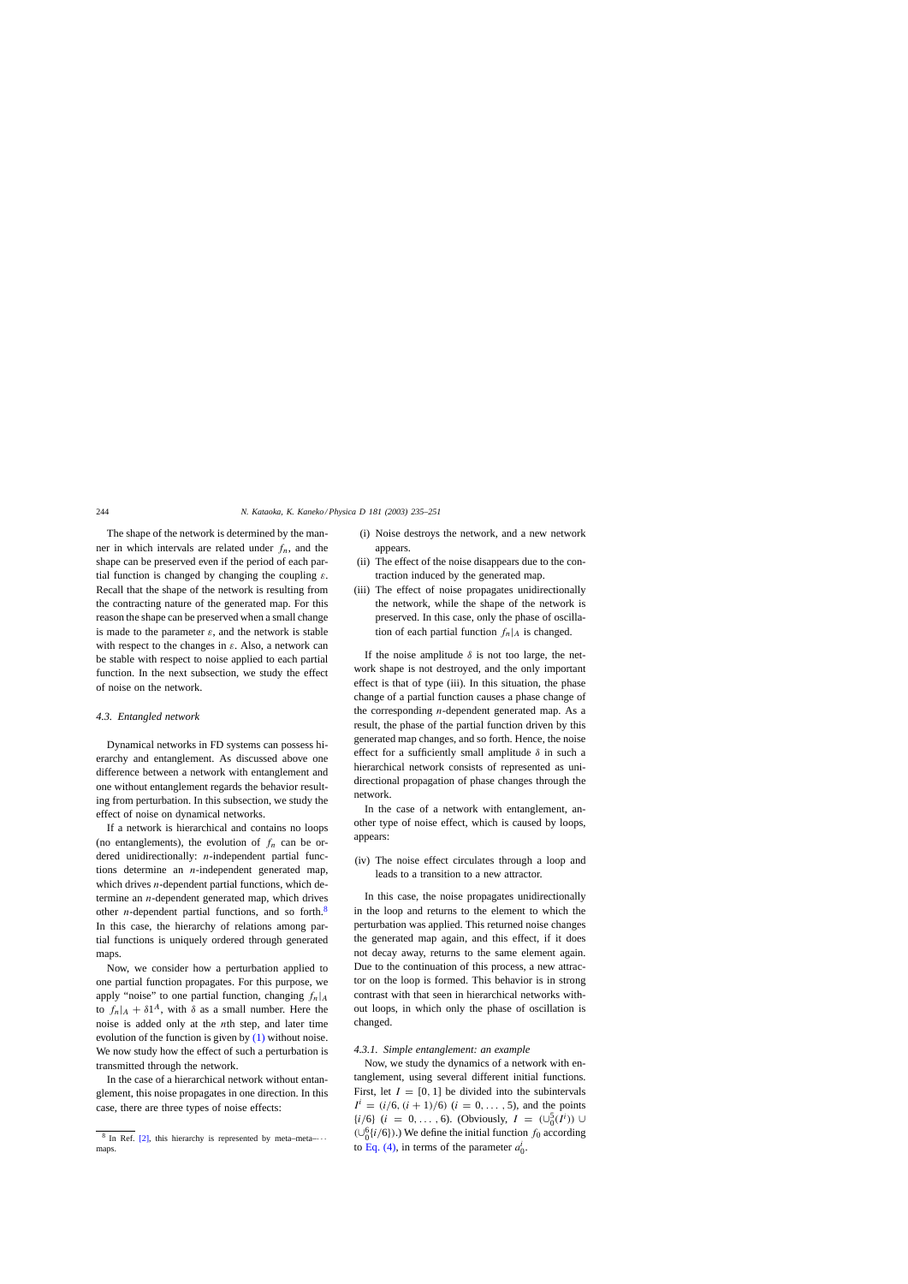<span id="page-9-0"></span>The shape of the network is determined by the manner in which intervals are related under  $f_n$ , and the shape can be preserved even if the period of each partial function is changed by changing the coupling  $\varepsilon$ . Recall that the shape of the network is resulting from the contracting nature of the generated map. For this reason the shape can be preserved when a small change is made to the parameter  $\varepsilon$ , and the network is stable with respect to the changes in  $\varepsilon$ . Also, a network can be stable with respect to noise applied to each partial function. In the next subsection, we study the effect of noise on the network.

# *4.3. Entangled network*

Dynamical networks in FD systems can possess hierarchy and entanglement. As discussed above one difference between a network with entanglement and one without entanglement regards the behavior resulting from perturbation. In this subsection, we study the effect of noise on dynamical networks.

If a network is hierarchical and contains no loops (no entanglements), the evolution of  $f_n$  can be ordered unidirectionally: *n*-independent partial functions determine an *n*-independent generated map, which drives  $n$ -dependent partial functions, which determine an n-dependent generated map, which drives other *n*-dependent partial functions, and so forth.<sup>8</sup> In this case, the hierarchy of relations among partial functions is uniquely ordered through generated maps.

Now, we consider how a perturbation applied to one partial function propagates. For this purpose, we apply "noise" to one partial function, changing  $f_n|_A$ to  $f_n|_A + \delta 1^A$ , with  $\delta$  as a small number. Here the noise is added only at the nth step, and later time evolution of the function is given by  $(1)$  without noise. We now study how the effect of such a perturbation is transmitted through the network.

In the case of a hierarchical network without entanglement, this noise propagates in one direction. In this case, there are three types of noise effects:

- (i) Noise destroys the network, and a new network appears.
- (ii) The effect of the noise disappears due to the contraction induced by the generated map.
- (iii) The effect of noise propagates unidirectionally the network, while the shape of the network is preserved. In this case, only the phase of oscillation of each partial function  $f_n|_A$  is changed.

If the noise amplitude  $\delta$  is not too large, the network shape is not destroyed, and the only important effect is that of type (iii). In this situation, the phase change of a partial function causes a phase change of the corresponding  $n$ -dependent generated map. As a result, the phase of the partial function driven by this generated map changes, and so forth. Hence, the noise effect for a sufficiently small amplitude  $\delta$  in such a hierarchical network consists of represented as unidirectional propagation of phase changes through the network.

In the case of a network with entanglement, another type of noise effect, which is caused by loops, appears:

(iv) The noise effect circulates through a loop and leads to a transition to a new attractor.

In this case, the noise propagates unidirectionally in the loop and returns to the element to which the perturbation was applied. This returned noise changes the generated map again, and this effect, if it does not decay away, returns to the same element again. Due to the continuation of this process, a new attractor on the loop is formed. This behavior is in strong contrast with that seen in hierarchical networks without loops, in which only the phase of oscillation is changed.

# *4.3.1. Simple entanglement: an example*

Now, we study the dynamics of a network with entanglement, using several different initial functions. First, let  $I = [0, 1]$  be divided into the subintervals  $I^i = (i/6, (i + 1)/6)$   $(i = 0, \ldots, 5)$ , and the points { $i/6$ } ( $i = 0,..., 6$ ). (Obviously,  $I = (\cup_{0}^{5}(I^{i})) \cup$  $(\cup_{0}^{6}{i/6})$ .) We define the initial function  $f_0$  according to [Eq. \(4\),](#page-7-0) in terms of the parameter  $a_0^i$ .

<sup>&</sup>lt;sup>8</sup> In Ref. [\[2\],](#page-16-0) this hierarchy is represented by meta–meta– $\cdots$ maps.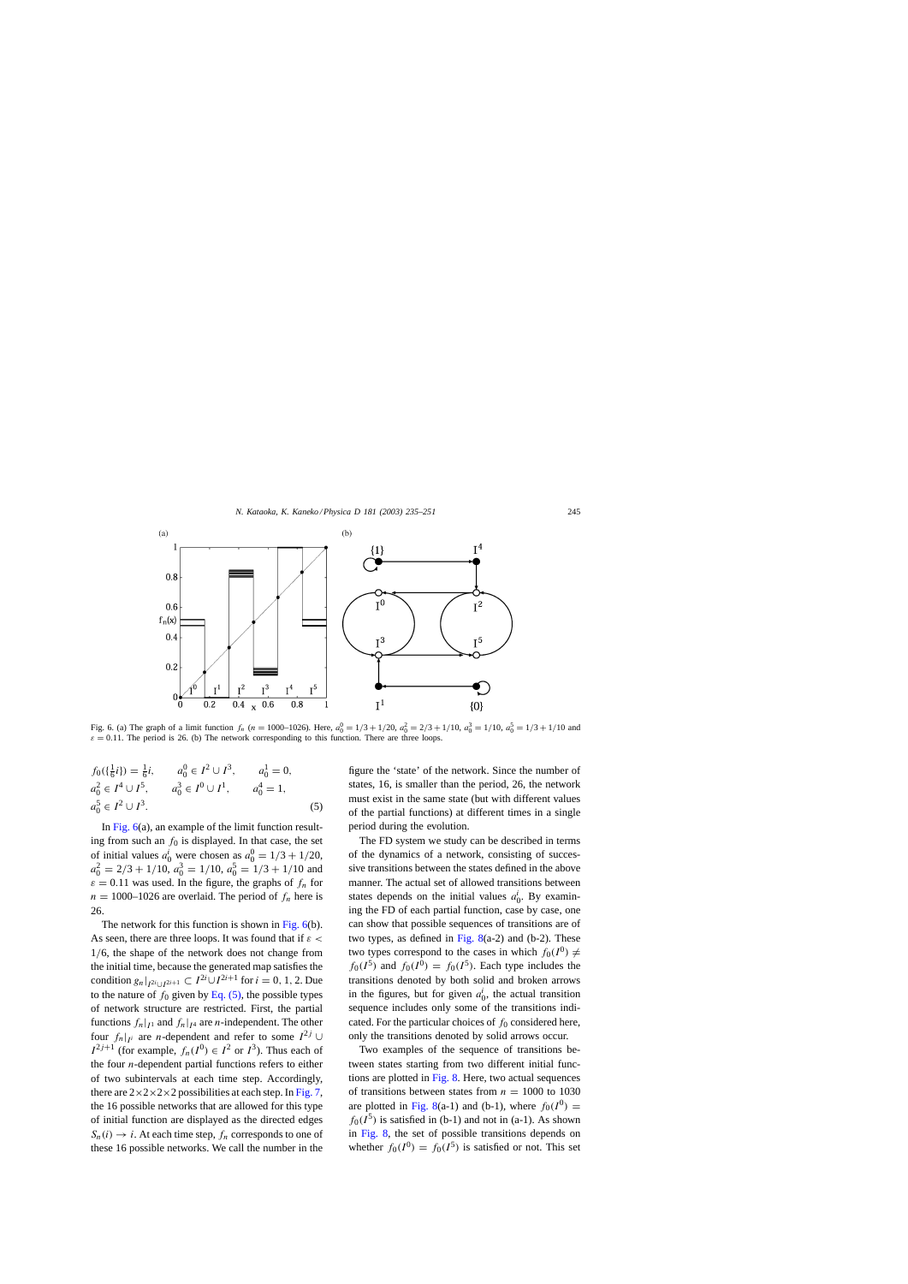<span id="page-10-0"></span>

Fig. 6. (a) The graph of a limit function  $f_n$  ( $n = 1000-1026$ ). Here,  $a_0^0 = 1/3 + 1/20$ ,  $a_0^2 = 2/3 + 1/10$ ,  $a_0^3 = 1/10$ ,  $a_0^5 = 1/3 + 1/10$  and  $\varepsilon = 0.11$ . The period is 26. (b) The network corresponding to this function. There are three loops.

$$
f_0(\{\frac{1}{6}i\}) = \frac{1}{6}i, \qquad a_0^0 \in I^2 \cup I^3, \qquad a_0^1 = 0,
$$
  
\n
$$
a_0^2 \in I^4 \cup I^5, \qquad a_0^3 \in I^0 \cup I^1, \qquad a_0^4 = 1,
$$
  
\n
$$
a_0^5 \in I^2 \cup I^3.
$$
\n(5)

In Fig.  $6(a)$ , an example of the limit function resulting from such an  $f_0$  is displayed. In that case, the set of initial values  $a_0^i$  were chosen as  $a_0^0 = 1/3 + 1/20$ ,  $a_0^2 = 2/3 + 1/10$ ,  $a_0^3 = 1/10$ ,  $a_0^5 = 1/3 + 1/10$  and  $\varepsilon = 0.11$  was used. In the figure, the graphs of  $f_n$  for  $n = 1000-1026$  are overlaid. The period of  $f_n$  here is 26.

The network for this function is shown in Fig. 6(b). As seen, there are three loops. It was found that if  $\varepsilon$  < 1/6, the shape of the network does not change from the initial time, because the generated map satisfies the condition  $g_n|_{I^{2i} \cup I^{2i+1}} \subset I^{2i} \cup I^{2i+1}$  for  $i = 0, 1, 2$ . Due to the nature of  $f_0$  given by Eq. (5), the possible types of network structure are restricted. First, the partial functions  $f_n|_{I^1}$  and  $f_n|_{I^4}$  are *n*-independent. The other four  $f_n|_{I^i}$  are *n*-dependent and refer to some  $I^{2j}$  ∪  $I^{2j+1}$  (for example,  $f_n(I^0) \in I^2$  or  $I^3$ ). Thus each of the four  $n$ -dependent partial functions refers to either of two subintervals at each time step. Accordingly, there are  $2 \times 2 \times 2 \times 2$  possibilities at each step. In [Fig. 7,](#page-11-0) the 16 possible networks that are allowed for this type of initial function are displayed as the directed edges  $S_n(i) \to i$ . At each time step,  $f_n$  corresponds to one of these 16 possible networks. We call the number in the figure the 'state' of the network. Since the number of states, 16, is smaller than the period, 26, the network must exist in the same state (but with different values of the partial functions) at different times in a single period during the evolution.

The FD system we study can be described in terms of the dynamics of a network, consisting of successive transitions between the states defined in the above manner. The actual set of allowed transitions between states depends on the initial values  $a_0^i$ . By examining the FD of each partial function, case by case, one can show that possible sequences of transitions are of two types, as defined in Fig.  $8(a-2)$  and (b-2). These two types correspond to the cases in which  $f_0(I^0) \neq$  $f_0(I^5)$  and  $f_0(I^0) = f_0(I^5)$ . Each type includes the transitions denoted by both solid and broken arrows in the figures, but for given  $a_0^i$ , the actual transition sequence includes only some of the transitions indicated. For the particular choices of  $f_0$  considered here, only the transitions denoted by solid arrows occur.

Two examples of the sequence of transitions between states starting from two different initial functions are plotted in [Fig. 8. H](#page-12-0)ere, two actual sequences of transitions between states from  $n = 1000$  to 1030 are plotted in [Fig. 8\(a](#page-12-0)-1) and (b-1), where  $f_0(I^0)$  =  $f_0(I^5)$  is satisfied in (b-1) and not in (a-1). As shown in [Fig. 8,](#page-12-0) the set of possible transitions depends on whether  $f_0(I^0) = f_0(I^5)$  is satisfied or not. This set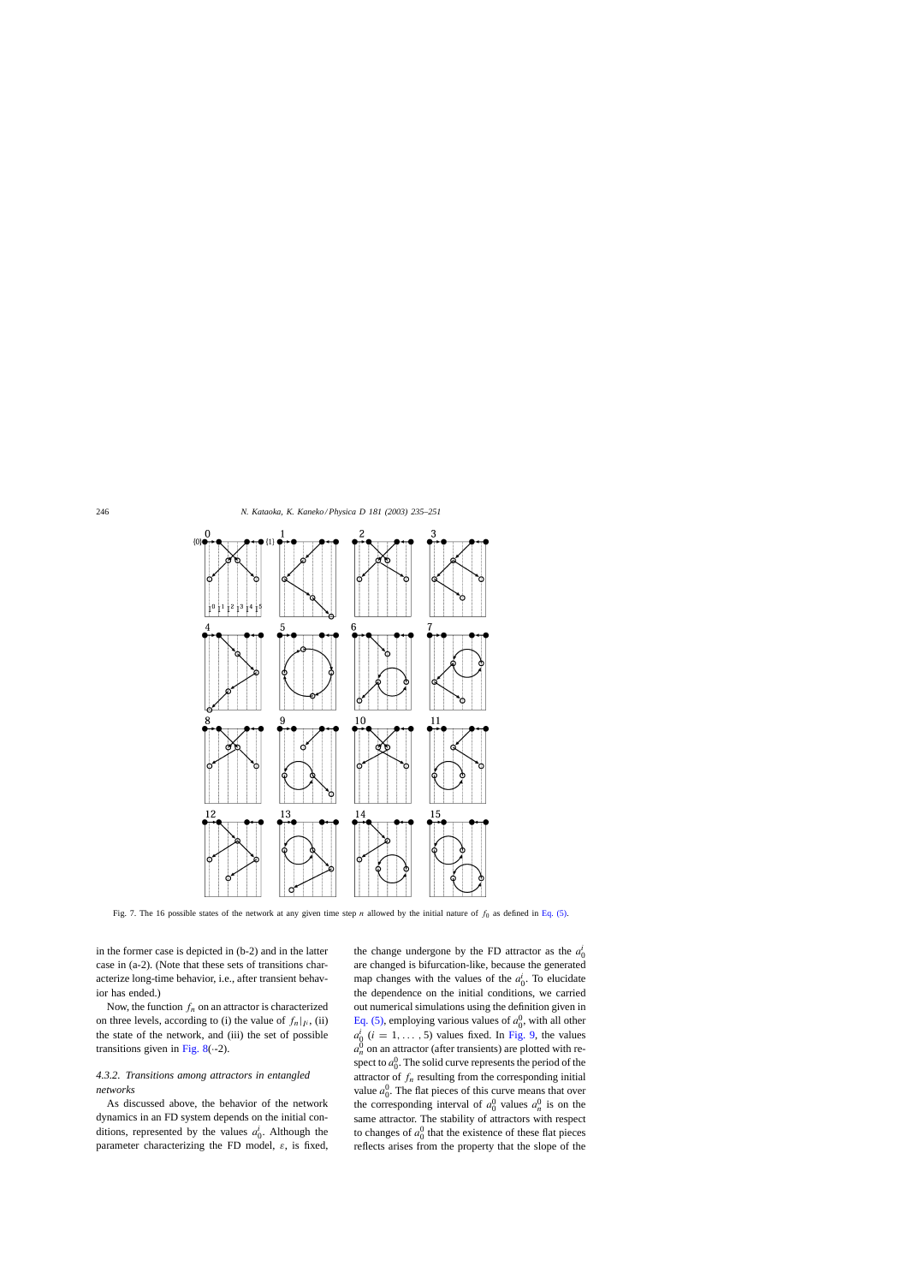<span id="page-11-0"></span>

Fig. 7. The 16 possible states of the network at any given time step n allowed by the initial nature of  $f_0$  as defined in [Eq. \(5\).](#page-10-0)

in the former case is depicted in (b-2) and in the latter case in (a-2). (Note that these sets of transitions characterize long-time behavior, i.e., after transient behavior has ended.)

Now, the function  $f_n$  on an attractor is characterized on three levels, according to (i) the value of  $f_n|_{I^i}$ , (ii) the state of the network, and (iii) the set of possible transitions given in Fig.  $8(-2)$ .

# *4.3.2. Transitions among attractors in entangled networks*

As discussed above, the behavior of the network dynamics in an FD system depends on the initial conditions, represented by the values  $a_0^i$ . Although the parameter characterizing the FD model,  $\varepsilon$ , is fixed,

the change undergone by the FD attractor as the  $a_0^i$ are changed is bifurcation-like, because the generated map changes with the values of the  $a_0^i$ . To elucidate the dependence on the initial conditions, we carried out numerical simulations using the definition given in [Eq. \(5\),](#page-10-0) employing various values of  $a_0^0$ , with all other  $a_0^i$  (i = 1, ..., 5) values fixed. In [Fig. 9,](#page-13-0) the values  $a_n^0$  on an attractor (after transients) are plotted with respect to  $a_0^0$ . The solid curve represents the period of the attractor of  $f_n$  resulting from the corresponding initial value  $a_0^0$ . The flat pieces of this curve means that over the corresponding interval of  $a_0^0$  values  $a_n^0$  is on the same attractor. The stability of attractors with respect to changes of  $a_0^0$  that the existence of these flat pieces reflects arises from the property that the slope of the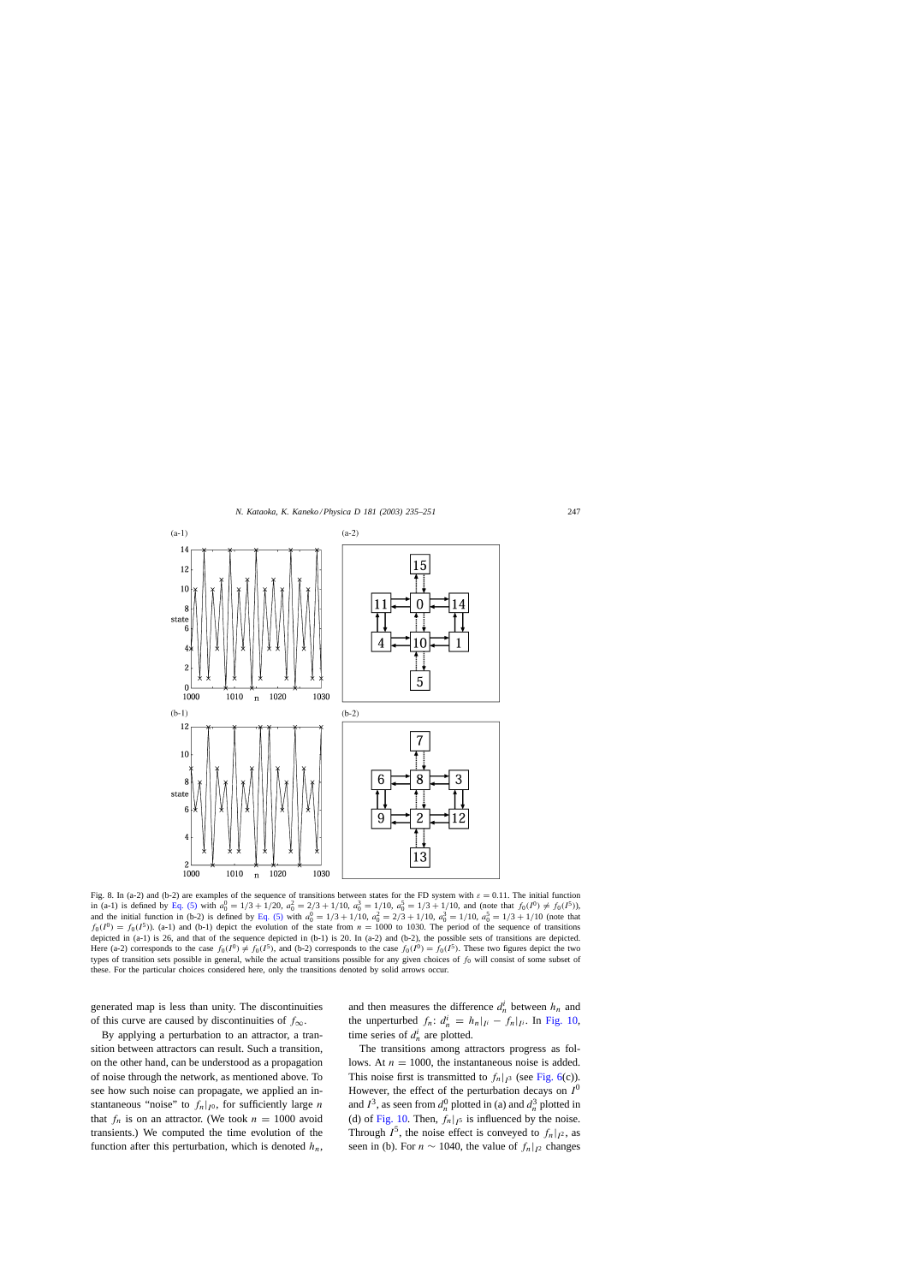<span id="page-12-0"></span>

Fig. 8. In (a-2) and (b-2) are examples of the sequence of transitions between states for the FD system with  $\varepsilon = 0.11$ . The initial function in (a-1) is defined by [Eq. \(5\)](#page-10-0) with  $a_0^0 = 1/3 + 1/20$ ,  $a_0^2 = 2/3 + 1/10$ ,  $a_0^3 = 1/10$ ,  $a_0^5 = 1/3 + 1/10$ , and (note that  $f_0(I^0) \neq f_0(I^5)$ ), and the initial function in (b-2) is defined by [Eq. \(5\)](#page-10-0) with  $a_0^0 = 1/3 + 1/10$ ,  $a_0^2 = 2/3 + 1/10$ ,  $a_0^3 = 1/10$ ,  $a_0^5 = 1/3 + 1/10$  (note that  $f_0(I^0) = f_0(I^5)$ . (a-1) and (b-1) depict the evolution of the state from  $n = 1000$  to 1030. The period of the sequence of transitions depicted in (a-1) is 26, and that of the sequence depicted in (b-1) is 20. In (a-2) and (b-2), the possible sets of transitions are depicted. Here (a-2) corresponds to the case  $f_0(I^0) \neq f_0(I^5)$ , and (b-2) corresponds to the case  $f_0(I^0) = f_0(I^5)$ . These two figures depict the two types of transition sets possible in general, while the actual transitions possible for any given choices of  $f_0$  will consist of some subset of these. For the particular choices considered here, only the transitions denoted by solid arrows occur.

generated map is less than unity. The discontinuities of this curve are caused by discontinuities of  $f_{\infty}$ .

By applying a perturbation to an attractor, a transition between attractors can result. Such a transition, on the other hand, can be understood as a propagation of noise through the network, as mentioned above. To see how such noise can propagate, we applied an instantaneous "noise" to  $f_n|_{I^0}$ , for sufficiently large n that  $f_n$  is on an attractor. (We took  $n = 1000$  avoid transients.) We computed the time evolution of the function after this perturbation, which is denoted  $h_n$ , and then measures the difference  $d_n^i$  between  $h_n$  and the unperturbed  $f_n: d_n^i = h_n|_{I^i} - f_n|_{I^i}$ . In [Fig. 10,](#page-14-0) time series of  $d_n^i$  are plotted.

The transitions among attractors progress as follows. At  $n = 1000$ , the instantaneous noise is added. This noise first is transmitted to  $f_n|_{I^3}$  (see [Fig. 6\(c](#page-10-0))). However, the effect of the perturbation decays on  $I^0$ and  $I^3$ , as seen from  $d_n^0$  plotted in (a) and  $d_n^3$  plotted in (d) of [Fig. 10.](#page-14-0) Then,  $f_n|_{I^5}$  is influenced by the noise. Through  $I^5$ , the noise effect is conveyed to  $f_n|_{I^2}$ , as seen in (b). For  $n \sim 1040$ , the value of  $f_n|_{l^2}$  changes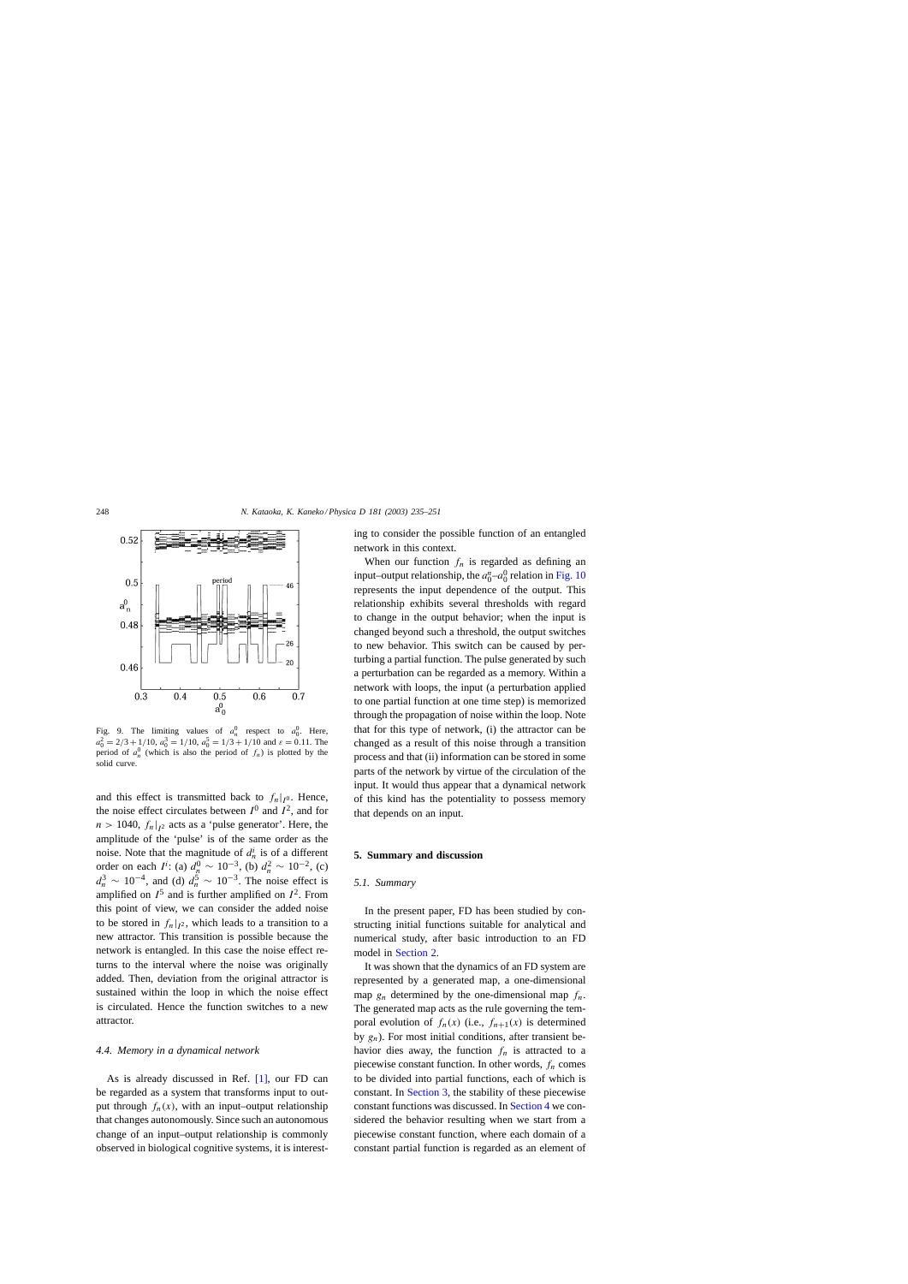<span id="page-13-0"></span>

Fig. 9. The limiting values of  $a_n^0$  respect to  $a_0^0$ . Here,  $a_0^2 = 2/3 + 1/10$ ,  $a_0^3 = 1/10$ ,  $a_0^5 = 1/3 + 1/10$  and  $\varepsilon = 0.11$ . The period of  $a_n^0$  (which is also the period of  $f_n$ ) is plotted by the solid curve.

and this effect is transmitted back to  $f_n|_{I^0}$ . Hence, the noise effect circulates between  $I^0$  and  $I^2$ , and for  $n > 1040$ ,  $f_n|_{l^2}$  acts as a 'pulse generator'. Here, the amplitude of the 'pulse' is of the same order as the noise. Note that the magnitude of  $d_n^i$  is of a different order on each  $I^i$ : (a)  $d_n^0 \sim 10^{-3}$ , (b)  $d_n^2 \sim 10^{-2}$ , (c)  $d_n^3 \sim 10^{-4}$ , and (d)  $d_n^5 \sim 10^{-3}$ . The noise effect is amplified on  $I^5$  and is further amplified on  $I^2$ . From this point of view, we can consider the added noise to be stored in  $f_n|_{I^2}$ , which leads to a transition to a new attractor. This transition is possible because the network is entangled. In this case the noise effect returns to the interval where the noise was originally added. Then, deviation from the original attractor is sustained within the loop in which the noise effect is circulated. Hence the function switches to a new attractor.

#### *4.4. Memory in a dynamical network*

As is already discussed in Ref. [\[1\],](#page-16-0) our FD can be regarded as a system that transforms input to output through  $f_n(x)$ , with an input–output relationship that changes autonomously. Since such an autonomous change of an input–output relationship is commonly observed in biological cognitive systems, it is interesting to consider the possible function of an entangled network in this context.

When our function  $f_n$  is regarded as defining an input–output relationship, the  $a_0^n-a_0^0$  relation in [Fig. 10](#page-14-0) represents the input dependence of the output. This relationship exhibits several thresholds with regard to change in the output behavior; when the input is changed beyond such a threshold, the output switches to new behavior. This switch can be caused by perturbing a partial function. The pulse generated by such a perturbation can be regarded as a memory. Within a network with loops, the input (a perturbation applied to one partial function at one time step) is memorized through the propagation of noise within the loop. Note that for this type of network, (i) the attractor can be changed as a result of this noise through a transition process and that (ii) information can be stored in some parts of the network by virtue of the circulation of the input. It would thus appear that a dynamical network of this kind has the potentiality to possess memory that depends on an input.

# **5. Summary and discussion**

# *5.1. Summary*

In the present paper, FD has been studied by constructing initial functions suitable for analytical and numerical study, after basic introduction to an FD model in [Section 2.](#page-1-0)

It was shown that the dynamics of an FD system are represented by a generated map, a one-dimensional map  $g_n$  determined by the one-dimensional map  $f_n$ . The generated map acts as the rule governing the temporal evolution of  $f_n(x)$  (i.e.,  $f_{n+1}(x)$  is determined by  $g_n$ ). For most initial conditions, after transient behavior dies away, the function  $f_n$  is attracted to a piecewise constant function. In other words,  $f_n$  comes to be divided into partial functions, each of which is constant. In [Section 3, t](#page-2-0)he stability of these piecewise constant functions was discussed. In [Section 4](#page-5-0) we considered the behavior resulting when we start from a piecewise constant function, where each domain of a constant partial function is regarded as an element of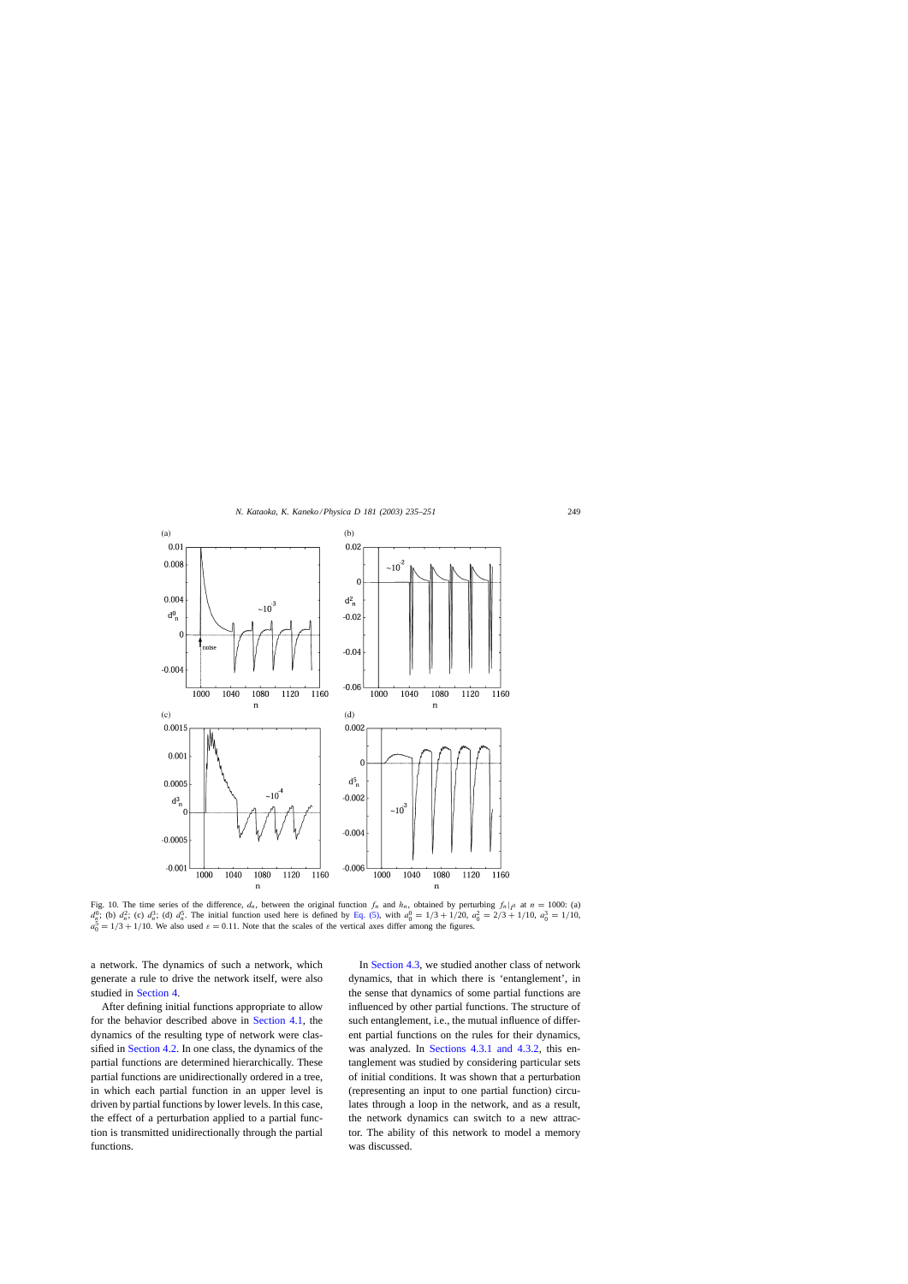<span id="page-14-0"></span>

Fig. 10. The time series of the difference,  $d_n$ , between the original function  $f_n$  and  $h_n$ , obtained by perturbing  $f_n|_{I^0}$  at  $n = 1000$ : (a)  $d_2^0$ ; (b)  $d_n^2$ ; (c)  $d_n^3$ ; (d)  $d_n^5$ . The initial function used here is defined by [Eq. \(5\),](#page-10-0) with  $a_0^0 = 1/3 + 1/20$ ,  $a_0^2 = 2/3 + 1/10$ ,  $a_0^3 = 1/10$ ,  $a_0^5 = 1/3 + 1/10$ . We also used  $\varepsilon = 0.11$ . Note that the scales of the vertical axes differ among the figures.

a network. The dynamics of such a network, which generate a rule to drive the network itself, were also studied in [Section 4.](#page-5-0)

After defining initial functions appropriate to allow for the behavior described above in [Section 4.1,](#page-5-0) the dynamics of the resulting type of network were classified in [Section 4.2. I](#page-7-0)n one class, the dynamics of the partial functions are determined hierarchically. These partial functions are unidirectionally ordered in a tree, in which each partial function in an upper level is driven by partial functions by lower levels. In this case, the effect of a perturbation applied to a partial function is transmitted unidirectionally through the partial functions.

In [Section 4.3, w](#page-9-0)e studied another class of network dynamics, that in which there is 'entanglement', in the sense that dynamics of some partial functions are influenced by other partial functions. The structure of such entanglement, i.e., the mutual influence of different partial functions on the rules for their dynamics, was analyzed. In [Sections 4.3.1 and 4.3.2](#page-9-0), this entanglement was studied by considering particular sets of initial conditions. It was shown that a perturbation (representing an input to one partial function) circulates through a loop in the network, and as a result, the network dynamics can switch to a new attractor. The ability of this network to model a memory was discussed.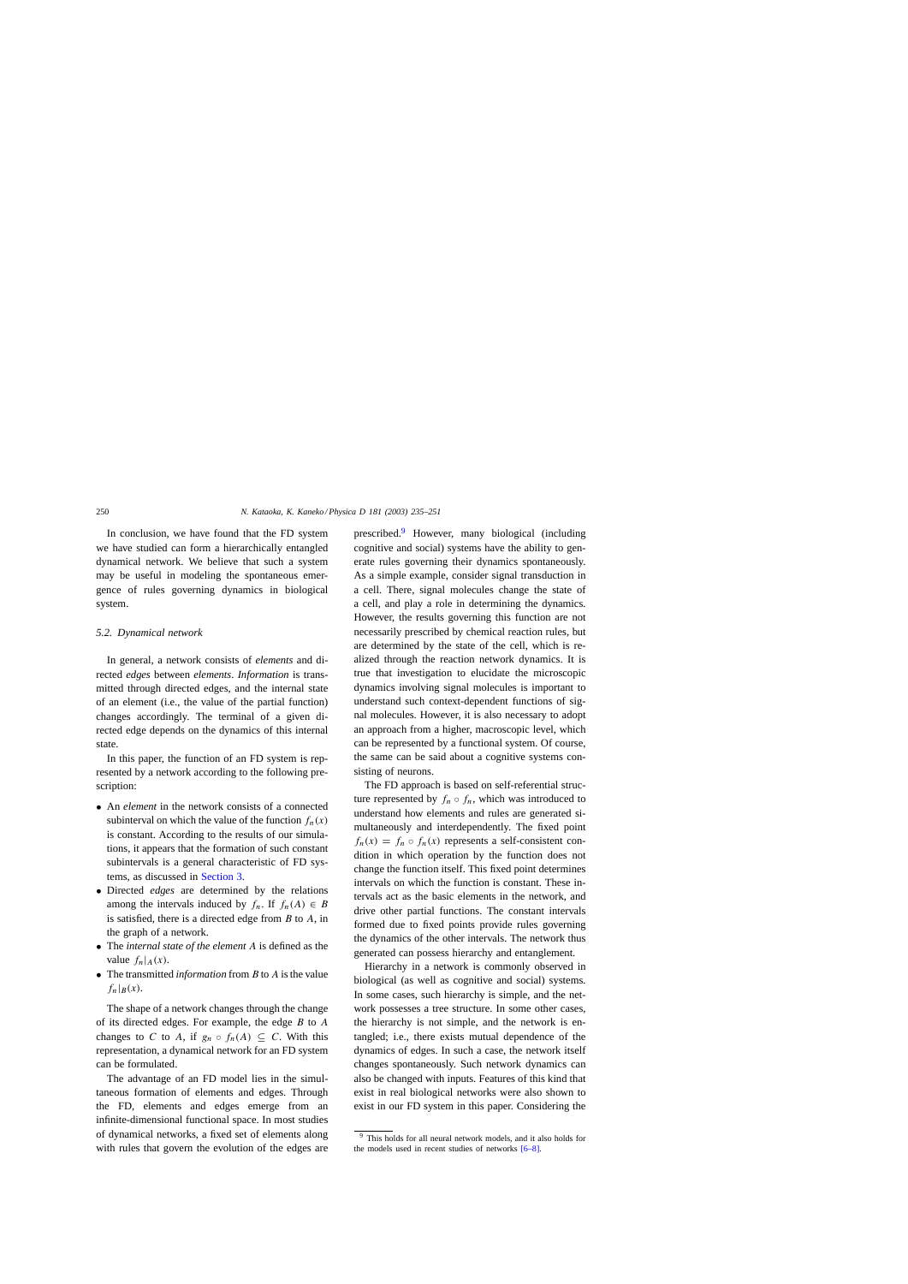In conclusion, we have found that the FD system we have studied can form a hierarchically entangled dynamical network. We believe that such a system may be useful in modeling the spontaneous emergence of rules governing dynamics in biological system.

## *5.2. Dynamical network*

In general, a network consists of *elements* and directed *edges* between *elements*. *Information* is transmitted through directed edges, and the internal state of an element (i.e., the value of the partial function) changes accordingly. The terminal of a given directed edge depends on the dynamics of this internal state.

In this paper, the function of an FD system is represented by a network according to the following prescription:

- An *element* in the network consists of a connected subinterval on which the value of the function  $f_n(x)$ is constant. According to the results of our simulations, it appears that the formation of such constant subintervals is a general characteristic of FD systems, as discussed in [Section 3.](#page-2-0)
- Directed *edges* are determined by the relations among the intervals induced by  $f_n$ . If  $f_n(A) \in B$ is satisfied, there is a directed edge from  $B$  to  $A$ , in the graph of a network.
- The *internal state of the element* A is defined as the value  $f_n|_A(x)$ .
- The transmitted *information* from B to A is the value  $f_n|_B(x)$ .

The shape of a network changes through the change of its directed edges. For example, the edge  $B$  to  $A$ changes to C to A, if  $g_n \circ f_n(A) \subseteq C$ . With this representation, a dynamical network for an FD system can be formulated.

The advantage of an FD model lies in the simultaneous formation of elements and edges. Through the FD, elements and edges emerge from an infinite-dimensional functional space. In most studies of dynamical networks, a fixed set of elements along with rules that govern the evolution of the edges are prescribed.<sup>9</sup> However, many biological (including cognitive and social) systems have the ability to generate rules governing their dynamics spontaneously. As a simple example, consider signal transduction in a cell. There, signal molecules change the state of a cell, and play a role in determining the dynamics. However, the results governing this function are not necessarily prescribed by chemical reaction rules, but are determined by the state of the cell, which is realized through the reaction network dynamics. It is true that investigation to elucidate the microscopic dynamics involving signal molecules is important to understand such context-dependent functions of signal molecules. However, it is also necessary to adopt an approach from a higher, macroscopic level, which can be represented by a functional system. Of course, the same can be said about a cognitive systems consisting of neurons.

The FD approach is based on self-referential structure represented by  $f_n \circ f_n$ , which was introduced to understand how elements and rules are generated simultaneously and interdependently. The fixed point  $f_n(x) = f_n \circ f_n(x)$  represents a self-consistent condition in which operation by the function does not change the function itself. This fixed point determines intervals on which the function is constant. These intervals act as the basic elements in the network, and drive other partial functions. The constant intervals formed due to fixed points provide rules governing the dynamics of the other intervals. The network thus generated can possess hierarchy and entanglement.

Hierarchy in a network is commonly observed in biological (as well as cognitive and social) systems. In some cases, such hierarchy is simple, and the network possesses a tree structure. In some other cases, the hierarchy is not simple, and the network is entangled; i.e., there exists mutual dependence of the dynamics of edges. In such a case, the network itself changes spontaneously. Such network dynamics can also be changed with inputs. Features of this kind that exist in real biological networks were also shown to exist in our FD system in this paper. Considering the

<sup>9</sup> This holds for all neural network models, and it also holds for the models used in recent studies of networks [\[6–8\].](#page-16-0)